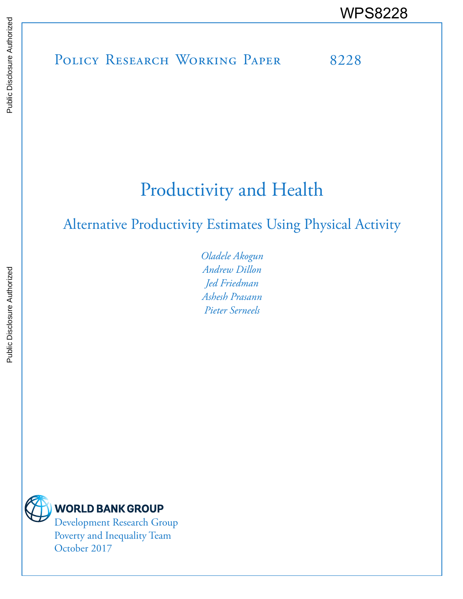POLICY RESEARCH WORKING PAPER 8228 WPS8228

# Productivity and Health

## Alternative Productivity Estimates Using Physical Activity

*Oladele Akogun Andrew Dillon Jed Friedman Ashesh Prasann Pieter Serneels*



**WORLD BANK GROUP** 

Development Research Group Poverty and Inequality Team October 2017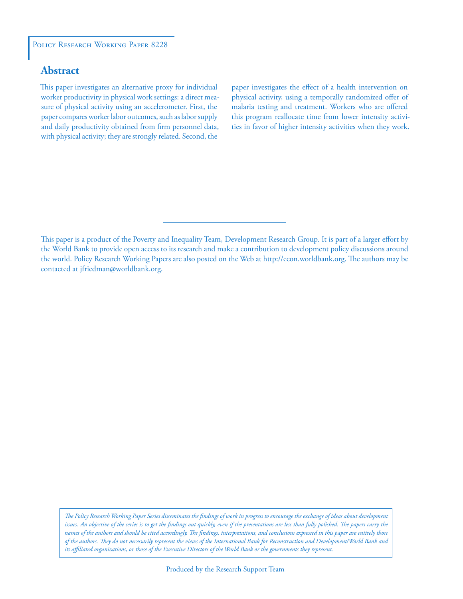#### POLICY RESEARCH WORKING PAPER 8228

### **Abstract**

This paper investigates an alternative proxy for individual worker productivity in physical work settings: a direct measure of physical activity using an accelerometer. First, the paper compares worker labor outcomes, such as labor supply and daily productivity obtained from firm personnel data, with physical activity; they are strongly related. Second, the

paper investigates the effect of a health intervention on physical activity, using a temporally randomized offer of malaria testing and treatment. Workers who are offered this program reallocate time from lower intensity activities in favor of higher intensity activities when they work.

This paper is a product of the Poverty and Inequality Team, Development Research Group. It is part of a larger effort by the World Bank to provide open access to its research and make a contribution to development policy discussions around the world. Policy Research Working Papers are also posted on the Web at http://econ.worldbank.org. The authors may be contacted at jfriedman@worldbank.org.

*The Policy Research Working Paper Series disseminates the findings of work in progress to encourage the exchange of ideas about development*  issues. An objective of the series is to get the findings out quickly, even if the presentations are less than fully polished. The papers carry the *names of the authors and should be cited accordingly. The findings, interpretations, and conclusions expressed in this paper are entirely those of the authors. They do not necessarily represent the views of the International Bank for Reconstruction and Development/World Bank and its affiliated organizations, or those of the Executive Directors of the World Bank or the governments they represent.*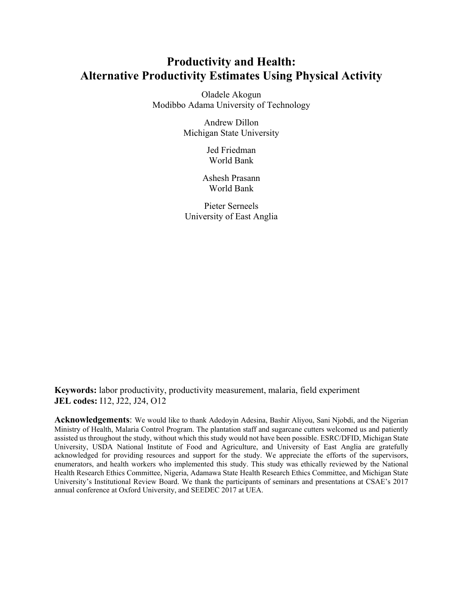### **Productivity and Health: Alternative Productivity Estimates Using Physical Activity**

Oladele Akogun Modibbo Adama University of Technology

> Andrew Dillon Michigan State University

> > Jed Friedman World Bank

Ashesh Prasann World Bank

Pieter Serneels University of East Anglia

**Keywords:** labor productivity, productivity measurement, malaria, field experiment **JEL codes:** I12, J22, J24, O12

**Acknowledgements**: We would like to thank Adedoyin Adesina, Bashir Aliyou, Sani Njobdi, and the Nigerian Ministry of Health, Malaria Control Program. The plantation staff and sugarcane cutters welcomed us and patiently assisted us throughout the study, without which this study would not have been possible. ESRC/DFID, Michigan State University, USDA National Institute of Food and Agriculture, and University of East Anglia are gratefully acknowledged for providing resources and support for the study. We appreciate the efforts of the supervisors, enumerators, and health workers who implemented this study. This study was ethically reviewed by the National Health Research Ethics Committee, Nigeria, Adamawa State Health Research Ethics Committee, and Michigan State University's Institutional Review Board. We thank the participants of seminars and presentations at CSAE's 2017 annual conference at Oxford University, and SEEDEC 2017 at UEA.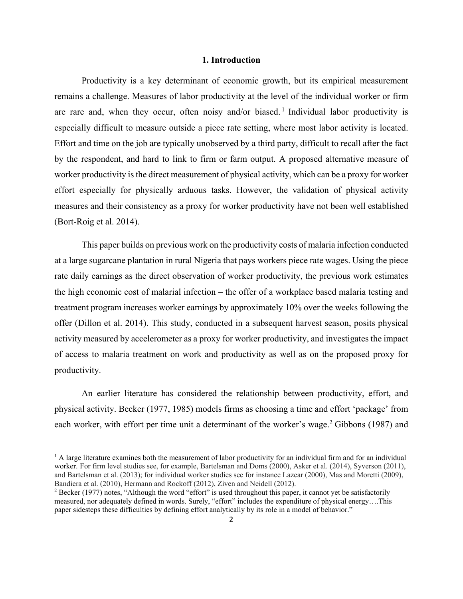#### **1. Introduction**

Productivity is a key determinant of economic growth, but its empirical measurement remains a challenge. Measures of labor productivity at the level of the individual worker or firm are rare and, when they occur, often noisy and/or biased.<sup>1</sup> Individual labor productivity is especially difficult to measure outside a piece rate setting, where most labor activity is located. Effort and time on the job are typically unobserved by a third party, difficult to recall after the fact by the respondent, and hard to link to firm or farm output. A proposed alternative measure of worker productivity is the direct measurement of physical activity, which can be a proxy for worker effort especially for physically arduous tasks. However, the validation of physical activity measures and their consistency as a proxy for worker productivity have not been well established (Bort-Roig et al. 2014).

This paper builds on previous work on the productivity costs of malaria infection conducted at a large sugarcane plantation in rural Nigeria that pays workers piece rate wages. Using the piece rate daily earnings as the direct observation of worker productivity, the previous work estimates the high economic cost of malarial infection – the offer of a workplace based malaria testing and treatment program increases worker earnings by approximately 10% over the weeks following the offer (Dillon et al. 2014). This study, conducted in a subsequent harvest season, posits physical activity measured by accelerometer as a proxy for worker productivity, and investigates the impact of access to malaria treatment on work and productivity as well as on the proposed proxy for productivity.

An earlier literature has considered the relationship between productivity, effort, and physical activity. Becker (1977, 1985) models firms as choosing a time and effort 'package' from each worker, with effort per time unit a determinant of the worker's wage.<sup>2</sup> Gibbons (1987) and

l

<sup>&</sup>lt;sup>1</sup> A large literature examines both the measurement of labor productivity for an individual firm and for an individual worker. For firm level studies see, for example, Bartelsman and Doms (2000), Asker et al. (2014), Syverson (2011), and Bartelsman et al. (2013); for individual worker studies see for instance Lazear (2000), Mas and Moretti (2009), Bandiera et al. (2010), Hermann and Rockoff (2012), Ziven and Neidell (2012).

 $2$  Becker (1977) notes, "Although the word "effort" is used throughout this paper, it cannot yet be satisfactorily measured, nor adequately defined in words. Surely, "effort" includes the expenditure of physical energy….This paper sidesteps these difficulties by defining effort analytically by its role in a model of behavior."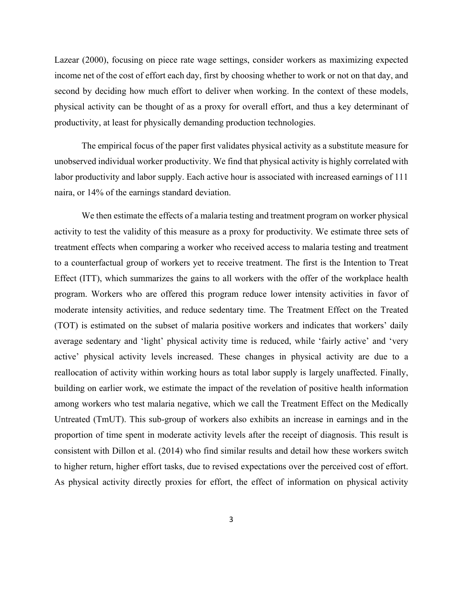Lazear (2000), focusing on piece rate wage settings, consider workers as maximizing expected income net of the cost of effort each day, first by choosing whether to work or not on that day, and second by deciding how much effort to deliver when working. In the context of these models, physical activity can be thought of as a proxy for overall effort, and thus a key determinant of productivity, at least for physically demanding production technologies.

The empirical focus of the paper first validates physical activity as a substitute measure for unobserved individual worker productivity. We find that physical activity is highly correlated with labor productivity and labor supply. Each active hour is associated with increased earnings of 111 naira, or 14% of the earnings standard deviation.

We then estimate the effects of a malaria testing and treatment program on worker physical activity to test the validity of this measure as a proxy for productivity. We estimate three sets of treatment effects when comparing a worker who received access to malaria testing and treatment to a counterfactual group of workers yet to receive treatment. The first is the Intention to Treat Effect (ITT), which summarizes the gains to all workers with the offer of the workplace health program. Workers who are offered this program reduce lower intensity activities in favor of moderate intensity activities, and reduce sedentary time. The Treatment Effect on the Treated (TOT) is estimated on the subset of malaria positive workers and indicates that workers' daily average sedentary and 'light' physical activity time is reduced, while 'fairly active' and 'very active' physical activity levels increased. These changes in physical activity are due to a reallocation of activity within working hours as total labor supply is largely unaffected. Finally, building on earlier work, we estimate the impact of the revelation of positive health information among workers who test malaria negative, which we call the Treatment Effect on the Medically Untreated (TmUT). This sub-group of workers also exhibits an increase in earnings and in the proportion of time spent in moderate activity levels after the receipt of diagnosis. This result is consistent with Dillon et al. (2014) who find similar results and detail how these workers switch to higher return, higher effort tasks, due to revised expectations over the perceived cost of effort. As physical activity directly proxies for effort, the effect of information on physical activity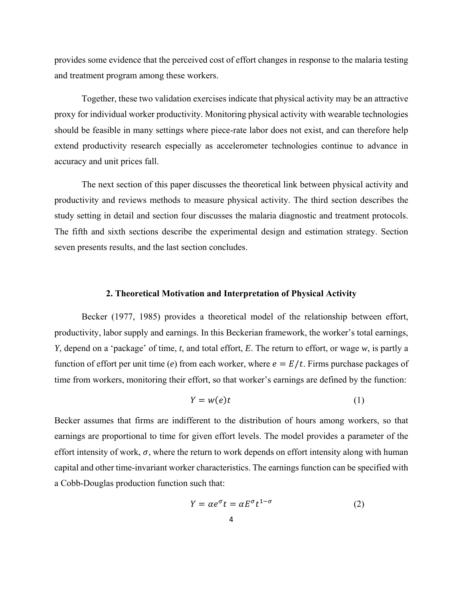provides some evidence that the perceived cost of effort changes in response to the malaria testing and treatment program among these workers.

Together, these two validation exercises indicate that physical activity may be an attractive proxy for individual worker productivity. Monitoring physical activity with wearable technologies should be feasible in many settings where piece-rate labor does not exist, and can therefore help extend productivity research especially as accelerometer technologies continue to advance in accuracy and unit prices fall.

The next section of this paper discusses the theoretical link between physical activity and productivity and reviews methods to measure physical activity. The third section describes the study setting in detail and section four discusses the malaria diagnostic and treatment protocols. The fifth and sixth sections describe the experimental design and estimation strategy. Section seven presents results, and the last section concludes.

#### **2. Theoretical Motivation and Interpretation of Physical Activity**

Becker (1977, 1985) provides a theoretical model of the relationship between effort, productivity, labor supply and earnings. In this Beckerian framework, the worker's total earnings, *Y*, depend on a 'package' of time, *t,* and total effort, *E*. The return to effort, or wage *w*, is partly a function of effort per unit time (*e*) from each worker, where  $e = E/t$ . Firms purchase packages of time from workers, monitoring their effort, so that worker's earnings are defined by the function:

$$
Y = w(e)t \tag{1}
$$

Becker assumes that firms are indifferent to the distribution of hours among workers, so that earnings are proportional to time for given effort levels. The model provides a parameter of the effort intensity of work,  $\sigma$ , where the return to work depends on effort intensity along with human capital and other time-invariant worker characteristics. The earnings function can be specified with a Cobb-Douglas production function such that:

$$
Y = \alpha e^{\sigma} t = \alpha E^{\sigma} t^{1-\sigma} \tag{2}
$$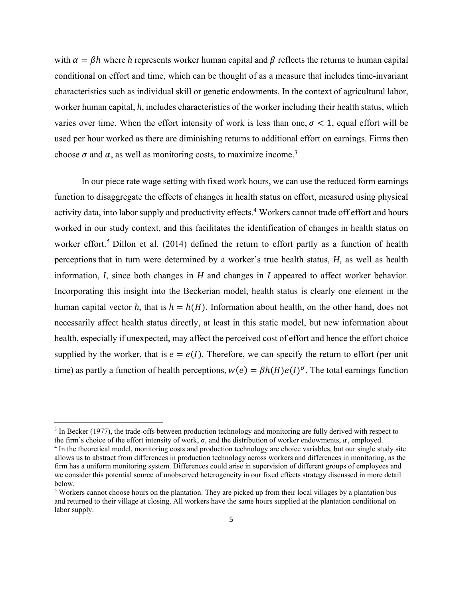with  $\alpha = \beta h$  where *h* represents worker human capital and  $\beta$  reflects the returns to human capital conditional on effort and time, which can be thought of as a measure that includes time-invariant characteristics such as individual skill or genetic endowments. In the context of agricultural labor, worker human capital, *h*, includes characteristics of the worker including their health status, which varies over time. When the effort intensity of work is less than one,  $\sigma < 1$ , equal effort will be used per hour worked as there are diminishing returns to additional effort on earnings. Firms then choose  $\sigma$  and  $\alpha$ , as well as monitoring costs, to maximize income.<sup>3</sup>

In our piece rate wage setting with fixed work hours, we can use the reduced form earnings function to disaggregate the effects of changes in health status on effort, measured using physical activity data, into labor supply and productivity effects.<sup>4</sup> Workers cannot trade off effort and hours worked in our study context, and this facilitates the identification of changes in health status on worker effort.<sup>5</sup> Dillon et al. (2014) defined the return to effort partly as a function of health perceptions that in turn were determined by a worker's true health status, *H,* as well as health information, *I*, since both changes in *H* and changes in *I* appeared to affect worker behavior. Incorporating this insight into the Beckerian model, health status is clearly one element in the human capital vector *h*, that is  $h = h(H)$ . Information about health, on the other hand, does not necessarily affect health status directly, at least in this static model, but new information about health, especially if unexpected, may affect the perceived cost of effort and hence the effort choice supplied by the worker, that is  $e = e(I)$ . Therefore, we can specify the return to effort (per unit time) as partly a function of health perceptions,  $w(e) = \beta h(H)e(I)^{\sigma}$ . The total earnings function

 $3$  In Becker (1977), the trade-offs between production technology and monitoring are fully derived with respect to the firm's choice of the effort intensity of work,  $\sigma$ , and the distribution of worker endowments,  $\alpha$ , employed.

<sup>&</sup>lt;sup>4</sup> In the theoretical model, monitoring costs and production technology are choice variables, but our single study site allows us to abstract from differences in production technology across workers and differences in monitoring, as the firm has a uniform monitoring system. Differences could arise in supervision of different groups of employees and we consider this potential source of unobserved heterogeneity in our fixed effects strategy discussed in more detail below.

<sup>&</sup>lt;sup>5</sup> Workers cannot choose hours on the plantation. They are picked up from their local villages by a plantation bus and returned to their village at closing. All workers have the same hours supplied at the plantation conditional on labor supply.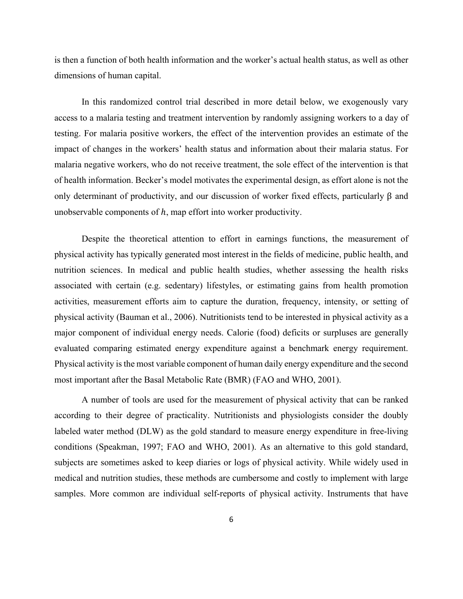is then a function of both health information and the worker's actual health status, as well as other dimensions of human capital.

In this randomized control trial described in more detail below, we exogenously vary access to a malaria testing and treatment intervention by randomly assigning workers to a day of testing. For malaria positive workers, the effect of the intervention provides an estimate of the impact of changes in the workers' health status and information about their malaria status. For malaria negative workers, who do not receive treatment, the sole effect of the intervention is that of health information. Becker's model motivates the experimental design, as effort alone is not the only determinant of productivity, and our discussion of worker fixed effects, particularly β and unobservable components of  $h$ , map effort into worker productivity.

Despite the theoretical attention to effort in earnings functions, the measurement of physical activity has typically generated most interest in the fields of medicine, public health, and nutrition sciences. In medical and public health studies, whether assessing the health risks associated with certain (e.g. sedentary) lifestyles, or estimating gains from health promotion activities, measurement efforts aim to capture the duration, frequency, intensity, or setting of physical activity (Bauman et al., 2006). Nutritionists tend to be interested in physical activity as a major component of individual energy needs. Calorie (food) deficits or surpluses are generally evaluated comparing estimated energy expenditure against a benchmark energy requirement. Physical activity is the most variable component of human daily energy expenditure and the second most important after the Basal Metabolic Rate (BMR) (FAO and WHO, 2001).

A number of tools are used for the measurement of physical activity that can be ranked according to their degree of practicality. Nutritionists and physiologists consider the doubly labeled water method (DLW) as the gold standard to measure energy expenditure in free-living conditions (Speakman, 1997; FAO and WHO, 2001). As an alternative to this gold standard, subjects are sometimes asked to keep diaries or logs of physical activity. While widely used in medical and nutrition studies, these methods are cumbersome and costly to implement with large samples. More common are individual self-reports of physical activity. Instruments that have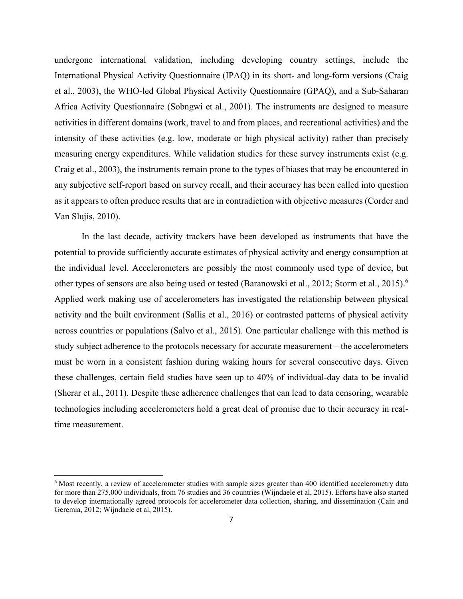undergone international validation, including developing country settings, include the International Physical Activity Questionnaire (IPAQ) in its short- and long-form versions (Craig et al., 2003), the WHO-led Global Physical Activity Questionnaire (GPAQ), and a Sub-Saharan Africa Activity Questionnaire (Sobngwi et al., 2001). The instruments are designed to measure activities in different domains (work, travel to and from places, and recreational activities) and the intensity of these activities (e.g. low, moderate or high physical activity) rather than precisely measuring energy expenditures. While validation studies for these survey instruments exist (e.g. Craig et al., 2003), the instruments remain prone to the types of biases that may be encountered in any subjective self-report based on survey recall, and their accuracy has been called into question as it appears to often produce results that are in contradiction with objective measures (Corder and Van Slujis, 2010).

In the last decade, activity trackers have been developed as instruments that have the potential to provide sufficiently accurate estimates of physical activity and energy consumption at the individual level. Accelerometers are possibly the most commonly used type of device, but other types of sensors are also being used or tested (Baranowski et al., 2012; Storm et al., 2015).6 Applied work making use of accelerometers has investigated the relationship between physical activity and the built environment (Sallis et al., 2016) or contrasted patterns of physical activity across countries or populations (Salvo et al., 2015). One particular challenge with this method is study subject adherence to the protocols necessary for accurate measurement – the accelerometers must be worn in a consistent fashion during waking hours for several consecutive days. Given these challenges, certain field studies have seen up to 40% of individual-day data to be invalid (Sherar et al., 2011). Despite these adherence challenges that can lead to data censoring, wearable technologies including accelerometers hold a great deal of promise due to their accuracy in realtime measurement.

l

<sup>&</sup>lt;sup>6</sup> Most recently, a review of accelerometer studies with sample sizes greater than 400 identified accelerometry data for more than 275,000 individuals, from 76 studies and 36 countries (Wijndaele et al, 2015). Efforts have also started to develop internationally agreed protocols for accelerometer data collection, sharing, and dissemination (Cain and Geremia, 2012; Wijndaele et al, 2015).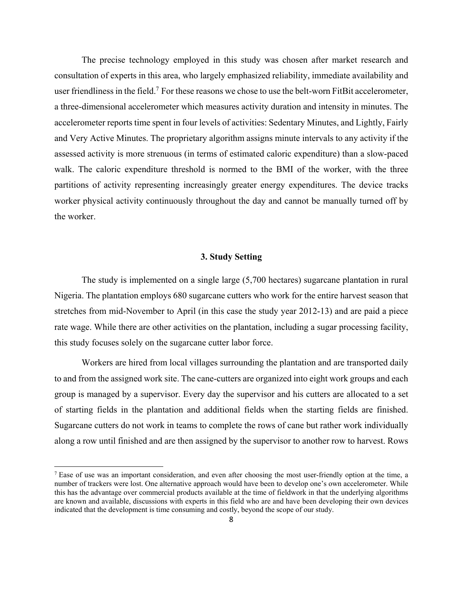The precise technology employed in this study was chosen after market research and consultation of experts in this area, who largely emphasized reliability, immediate availability and user friendliness in the field.<sup>7</sup> For these reasons we chose to use the belt-worn FitBit accelerometer, a three-dimensional accelerometer which measures activity duration and intensity in minutes. The accelerometer reports time spent in four levels of activities: Sedentary Minutes, and Lightly, Fairly and Very Active Minutes. The proprietary algorithm assigns minute intervals to any activity if the assessed activity is more strenuous (in terms of estimated caloric expenditure) than a slow-paced walk. The caloric expenditure threshold is normed to the BMI of the worker, with the three partitions of activity representing increasingly greater energy expenditures. The device tracks worker physical activity continuously throughout the day and cannot be manually turned off by the worker.

#### **3. Study Setting**

The study is implemented on a single large (5,700 hectares) sugarcane plantation in rural Nigeria. The plantation employs 680 sugarcane cutters who work for the entire harvest season that stretches from mid-November to April (in this case the study year 2012-13) and are paid a piece rate wage. While there are other activities on the plantation, including a sugar processing facility, this study focuses solely on the sugarcane cutter labor force.

Workers are hired from local villages surrounding the plantation and are transported daily to and from the assigned work site. The cane-cutters are organized into eight work groups and each group is managed by a supervisor. Every day the supervisor and his cutters are allocated to a set of starting fields in the plantation and additional fields when the starting fields are finished. Sugarcane cutters do not work in teams to complete the rows of cane but rather work individually along a row until finished and are then assigned by the supervisor to another row to harvest. Rows

<sup>&</sup>lt;sup>7</sup> Ease of use was an important consideration, and even after choosing the most user-friendly option at the time, a number of trackers were lost. One alternative approach would have been to develop one's own accelerometer. While this has the advantage over commercial products available at the time of fieldwork in that the underlying algorithms are known and available, discussions with experts in this field who are and have been developing their own devices indicated that the development is time consuming and costly, beyond the scope of our study.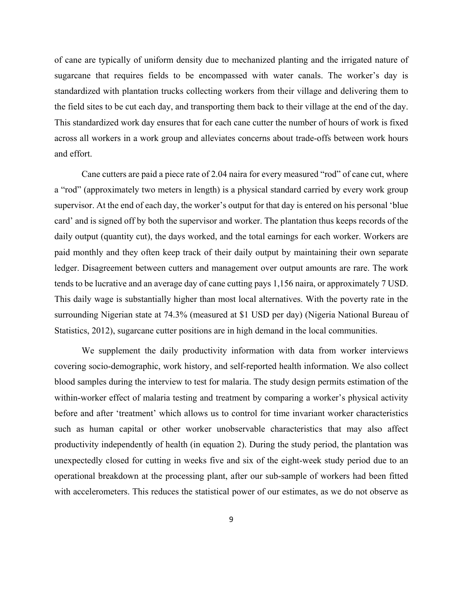of cane are typically of uniform density due to mechanized planting and the irrigated nature of sugarcane that requires fields to be encompassed with water canals. The worker's day is standardized with plantation trucks collecting workers from their village and delivering them to the field sites to be cut each day, and transporting them back to their village at the end of the day. This standardized work day ensures that for each cane cutter the number of hours of work is fixed across all workers in a work group and alleviates concerns about trade-offs between work hours and effort.

Cane cutters are paid a piece rate of 2.04 naira for every measured "rod" of cane cut, where a "rod" (approximately two meters in length) is a physical standard carried by every work group supervisor. At the end of each day, the worker's output for that day is entered on his personal 'blue card' and is signed off by both the supervisor and worker. The plantation thus keeps records of the daily output (quantity cut), the days worked, and the total earnings for each worker. Workers are paid monthly and they often keep track of their daily output by maintaining their own separate ledger. Disagreement between cutters and management over output amounts are rare. The work tends to be lucrative and an average day of cane cutting pays 1,156 naira, or approximately 7 USD. This daily wage is substantially higher than most local alternatives. With the poverty rate in the surrounding Nigerian state at 74.3% (measured at \$1 USD per day) (Nigeria National Bureau of Statistics, 2012), sugarcane cutter positions are in high demand in the local communities.

We supplement the daily productivity information with data from worker interviews covering socio-demographic, work history, and self-reported health information. We also collect blood samples during the interview to test for malaria. The study design permits estimation of the within-worker effect of malaria testing and treatment by comparing a worker's physical activity before and after 'treatment' which allows us to control for time invariant worker characteristics such as human capital or other worker unobservable characteristics that may also affect productivity independently of health (in equation 2). During the study period, the plantation was unexpectedly closed for cutting in weeks five and six of the eight-week study period due to an operational breakdown at the processing plant, after our sub-sample of workers had been fitted with accelerometers. This reduces the statistical power of our estimates, as we do not observe as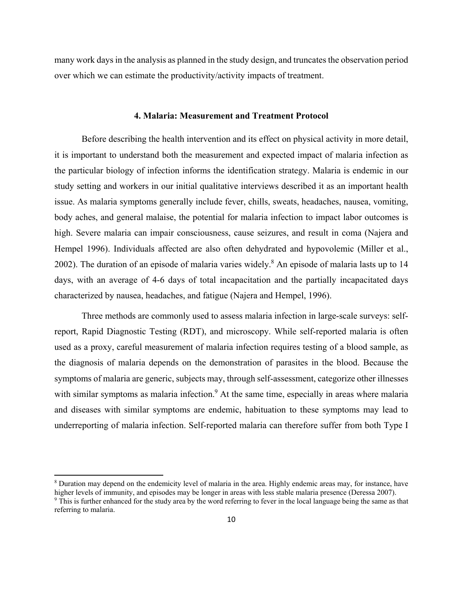many work days in the analysis as planned in the study design, and truncates the observation period over which we can estimate the productivity/activity impacts of treatment.

#### **4. Malaria: Measurement and Treatment Protocol**

Before describing the health intervention and its effect on physical activity in more detail, it is important to understand both the measurement and expected impact of malaria infection as the particular biology of infection informs the identification strategy. Malaria is endemic in our study setting and workers in our initial qualitative interviews described it as an important health issue. As malaria symptoms generally include fever, chills, sweats, headaches, nausea, vomiting, body aches, and general malaise, the potential for malaria infection to impact labor outcomes is high. Severe malaria can impair consciousness, cause seizures, and result in coma (Najera and Hempel 1996). Individuals affected are also often dehydrated and hypovolemic (Miller et al., 2002). The duration of an episode of malaria varies widely.<sup>8</sup> An episode of malaria lasts up to 14 days, with an average of 4-6 days of total incapacitation and the partially incapacitated days characterized by nausea, headaches, and fatigue (Najera and Hempel, 1996).

Three methods are commonly used to assess malaria infection in large-scale surveys: selfreport, Rapid Diagnostic Testing (RDT), and microscopy. While self-reported malaria is often used as a proxy, careful measurement of malaria infection requires testing of a blood sample, as the diagnosis of malaria depends on the demonstration of parasites in the blood. Because the symptoms of malaria are generic, subjects may, through self-assessment, categorize other illnesses with similar symptoms as malaria infection.<sup>9</sup> At the same time, especially in areas where malaria and diseases with similar symptoms are endemic, habituation to these symptoms may lead to underreporting of malaria infection. Self-reported malaria can therefore suffer from both Type I

l

<sup>&</sup>lt;sup>8</sup> Duration may depend on the endemicity level of malaria in the area. Highly endemic areas may, for instance, have higher levels of immunity, and episodes may be longer in areas with less stable malaria presence (Deressa 2007).

<sup>&</sup>lt;sup>9</sup> This is further enhanced for the study area by the word referring to fever in the local language being the same as that referring to malaria.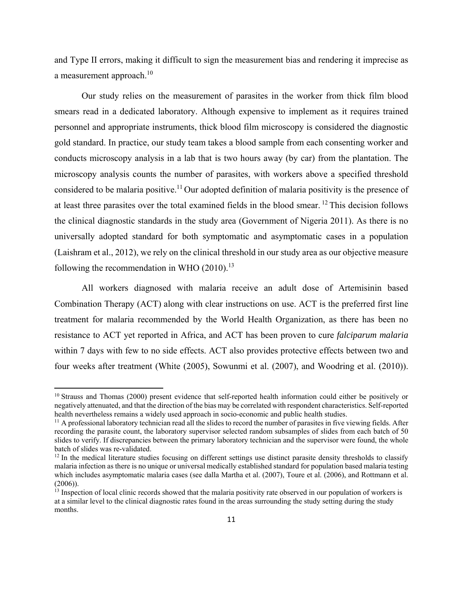and Type II errors, making it difficult to sign the measurement bias and rendering it imprecise as a measurement approach.<sup>10</sup>

Our study relies on the measurement of parasites in the worker from thick film blood smears read in a dedicated laboratory. Although expensive to implement as it requires trained personnel and appropriate instruments, thick blood film microscopy is considered the diagnostic gold standard. In practice, our study team takes a blood sample from each consenting worker and conducts microscopy analysis in a lab that is two hours away (by car) from the plantation. The microscopy analysis counts the number of parasites, with workers above a specified threshold considered to be malaria positive.<sup>11</sup> Our adopted definition of malaria positivity is the presence of at least three parasites over the total examined fields in the blood smear. 12 This decision follows the clinical diagnostic standards in the study area (Government of Nigeria 2011). As there is no universally adopted standard for both symptomatic and asymptomatic cases in a population (Laishram et al., 2012), we rely on the clinical threshold in our study area as our objective measure following the recommendation in WHO  $(2010).<sup>13</sup>$ 

All workers diagnosed with malaria receive an adult dose of Artemisinin based Combination Therapy (ACT) along with clear instructions on use. ACT is the preferred first line treatment for malaria recommended by the World Health Organization, as there has been no resistance to ACT yet reported in Africa, and ACT has been proven to cure *falciparum malaria* within 7 days with few to no side effects. ACT also provides protective effects between two and four weeks after treatment (White (2005), Sowunmi et al. (2007), and Woodring et al. (2010)).

 $10$  Strauss and Thomas (2000) present evidence that self-reported health information could either be positively or negatively attenuated, and that the direction of the bias may be correlated with respondent characteristics. Self-reported health nevertheless remains a widely used approach in socio-economic and public health studies.<br><sup>11</sup> A professional laboratory technician read all the slides to record the number of parasites in five viewing fields. After

recording the parasite count, the laboratory supervisor selected random subsamples of slides from each batch of 50 slides to verify. If discrepancies between the primary laboratory technician and the supervisor were found, the whole batch of slides was re-validated.

 $12$  In the medical literature studies focusing on different settings use distinct parasite density thresholds to classify malaria infection as there is no unique or universal medically established standard for population based malaria testing which includes asymptomatic malaria cases (see dalla Martha et al. (2007), Toure et al. (2006), and Rottmann et al. (2006)).

 $<sup>13</sup>$  Inspection of local clinic records showed that the malaria positivity rate observed in our population of workers is</sup> at a similar level to the clinical diagnostic rates found in the areas surrounding the study setting during the study months.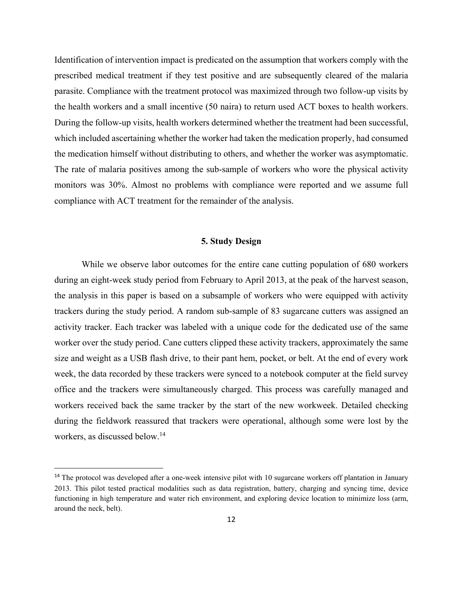Identification of intervention impact is predicated on the assumption that workers comply with the prescribed medical treatment if they test positive and are subsequently cleared of the malaria parasite. Compliance with the treatment protocol was maximized through two follow-up visits by the health workers and a small incentive (50 naira) to return used ACT boxes to health workers. During the follow-up visits, health workers determined whether the treatment had been successful, which included ascertaining whether the worker had taken the medication properly, had consumed the medication himself without distributing to others, and whether the worker was asymptomatic. The rate of malaria positives among the sub-sample of workers who wore the physical activity monitors was 30%. Almost no problems with compliance were reported and we assume full compliance with ACT treatment for the remainder of the analysis.

#### **5. Study Design**

While we observe labor outcomes for the entire cane cutting population of 680 workers during an eight-week study period from February to April 2013, at the peak of the harvest season, the analysis in this paper is based on a subsample of workers who were equipped with activity trackers during the study period. A random sub-sample of 83 sugarcane cutters was assigned an activity tracker. Each tracker was labeled with a unique code for the dedicated use of the same worker over the study period. Cane cutters clipped these activity trackers, approximately the same size and weight as a USB flash drive, to their pant hem, pocket, or belt. At the end of every work week, the data recorded by these trackers were synced to a notebook computer at the field survey office and the trackers were simultaneously charged. This process was carefully managed and workers received back the same tracker by the start of the new workweek. Detailed checking during the fieldwork reassured that trackers were operational, although some were lost by the workers, as discussed below.<sup>14</sup>

<sup>&</sup>lt;sup>14</sup> The protocol was developed after a one-week intensive pilot with 10 sugarcane workers off plantation in January 2013. This pilot tested practical modalities such as data registration, battery, charging and syncing time, device functioning in high temperature and water rich environment, and exploring device location to minimize loss (arm, around the neck, belt).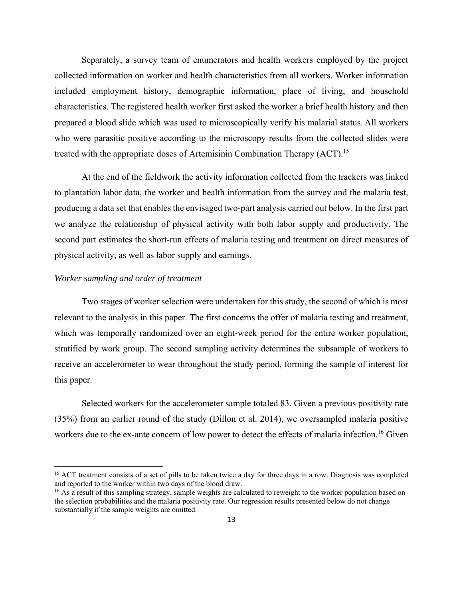Separately, a survey team of enumerators and health workers employed by the project collected information on worker and health characteristics from all workers. Worker information included employment history, demographic information, place of living, and household characteristics. The registered health worker first asked the worker a brief health history and then prepared a blood slide which was used to microscopically verify his malarial status. All workers who were parasitic positive according to the microscopy results from the collected slides were treated with the appropriate doses of Artemisinin Combination Therapy  $(ACT)$ <sup>15</sup>

At the end of the fieldwork the activity information collected from the trackers was linked to plantation labor data, the worker and health information from the survey and the malaria test, producing a data set that enables the envisaged two-part analysis carried out below. In the first part we analyze the relationship of physical activity with both labor supply and productivity. The second part estimates the short-run effects of malaria testing and treatment on direct measures of physical activity, as well as labor supply and earnings.

#### *Worker sampling and order of treatment*

 $\overline{\phantom{a}}$ 

Two stages of worker selection were undertaken for this study, the second of which is most relevant to the analysis in this paper. The first concerns the offer of malaria testing and treatment, which was temporally randomized over an eight-week period for the entire worker population, stratified by work group. The second sampling activity determines the subsample of workers to receive an accelerometer to wear throughout the study period, forming the sample of interest for this paper.

Selected workers for the accelerometer sample totaled 83. Given a previous positivity rate (35%) from an earlier round of the study (Dillon et al. 2014), we oversampled malaria positive workers due to the ex-ante concern of low power to detect the effects of malaria infection.<sup>16</sup> Given

<sup>&</sup>lt;sup>15</sup> ACT treatment consists of a set of pills to be taken twice a day for three days in a row. Diagnosis was completed and reported to the worker within two days of the blood draw.

<sup>&</sup>lt;sup>16</sup> As a result of this sampling strategy, sample weights are calculated to reweight to the worker population based on the selection probabilities and the malaria positivity rate. Our regression results presented below do not change substantially if the sample weights are omitted.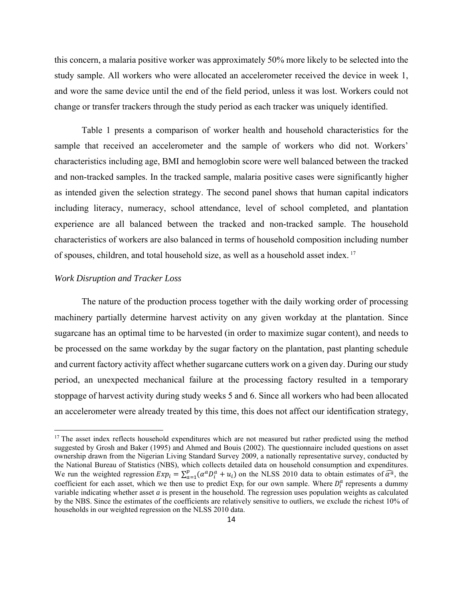this concern, a malaria positive worker was approximately 50% more likely to be selected into the study sample. All workers who were allocated an accelerometer received the device in week 1, and wore the same device until the end of the field period, unless it was lost. Workers could not change or transfer trackers through the study period as each tracker was uniquely identified.

Table 1 presents a comparison of worker health and household characteristics for the sample that received an accelerometer and the sample of workers who did not. Workers' characteristics including age, BMI and hemoglobin score were well balanced between the tracked and non-tracked samples. In the tracked sample, malaria positive cases were significantly higher as intended given the selection strategy. The second panel shows that human capital indicators including literacy, numeracy, school attendance, level of school completed, and plantation experience are all balanced between the tracked and non-tracked sample. The household characteristics of workers are also balanced in terms of household composition including number of spouses, children, and total household size, as well as a household asset index. <sup>17</sup>

#### *Work Disruption and Tracker Loss*

 $\overline{\phantom{a}}$ 

The nature of the production process together with the daily working order of processing machinery partially determine harvest activity on any given workday at the plantation. Since sugarcane has an optimal time to be harvested (in order to maximize sugar content), and needs to be processed on the same workday by the sugar factory on the plantation, past planting schedule and current factory activity affect whether sugarcane cutters work on a given day. During our study period, an unexpected mechanical failure at the processing factory resulted in a temporary stoppage of harvest activity during study weeks 5 and 6. Since all workers who had been allocated an accelerometer were already treated by this time, this does not affect our identification strategy,

 $17$  The asset index reflects household expenditures which are not measured but rather predicted using the method suggested by Grosh and Baker (1995) and Ahmed and Bouis (2002). The questionnaire included questions on asset ownership drawn from the Nigerian Living Standard Survey 2009, a nationally representative survey, conducted by the National Bureau of Statistics (NBS), which collects detailed data on household consumption and expenditures. We run the weighted regression  $Exp_i = \sum_{a=1}^{p} (\alpha^a D_i^a + u_i)$  on the NLSS 2010 data to obtain estimates of  $\widehat{\alpha^a}$ , the coefficient for each asset, which we then use to predict  $Exp_i$  for our own sample. Where  $D_i^a$  represents a dummy variable indicating whether asset *a* is present in the household. The regression uses population weights as calculated by the NBS. Since the estimates of the coefficients are relatively sensitive to outliers, we exclude the richest 10% of households in our weighted regression on the NLSS 2010 data.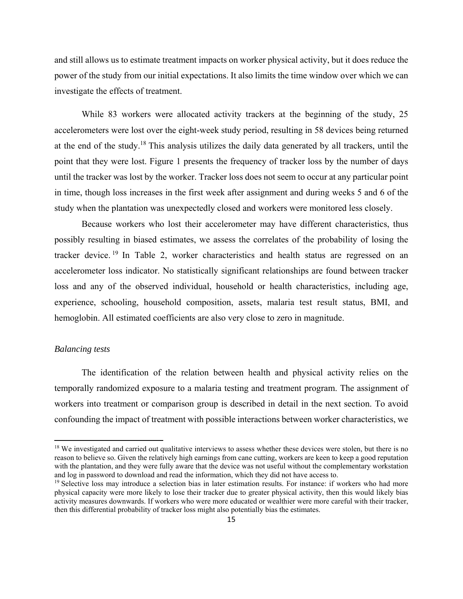and still allows us to estimate treatment impacts on worker physical activity, but it does reduce the power of the study from our initial expectations. It also limits the time window over which we can investigate the effects of treatment.

While 83 workers were allocated activity trackers at the beginning of the study, 25 accelerometers were lost over the eight-week study period, resulting in 58 devices being returned at the end of the study.18 This analysis utilizes the daily data generated by all trackers, until the point that they were lost. Figure 1 presents the frequency of tracker loss by the number of days until the tracker was lost by the worker. Tracker loss does not seem to occur at any particular point in time, though loss increases in the first week after assignment and during weeks 5 and 6 of the study when the plantation was unexpectedly closed and workers were monitored less closely.

Because workers who lost their accelerometer may have different characteristics, thus possibly resulting in biased estimates, we assess the correlates of the probability of losing the tracker device.<sup>19</sup> In Table 2, worker characteristics and health status are regressed on an accelerometer loss indicator. No statistically significant relationships are found between tracker loss and any of the observed individual, household or health characteristics, including age, experience, schooling, household composition, assets, malaria test result status, BMI, and hemoglobin. All estimated coefficients are also very close to zero in magnitude.

#### *Balancing tests*

 $\overline{\phantom{a}}$ 

The identification of the relation between health and physical activity relies on the temporally randomized exposure to a malaria testing and treatment program. The assignment of workers into treatment or comparison group is described in detail in the next section. To avoid confounding the impact of treatment with possible interactions between worker characteristics, we

<sup>&</sup>lt;sup>18</sup> We investigated and carried out qualitative interviews to assess whether these devices were stolen, but there is no reason to believe so. Given the relatively high earnings from cane cutting, workers are keen to keep a good reputation with the plantation, and they were fully aware that the device was not useful without the complementary workstation and log in password to download and read the information, which they did not have access to.

<sup>&</sup>lt;sup>19</sup> Selective loss may introduce a selection bias in later estimation results. For instance: if workers who had more physical capacity were more likely to lose their tracker due to greater physical activity, then this would likely bias activity measures downwards. If workers who were more educated or wealthier were more careful with their tracker, then this differential probability of tracker loss might also potentially bias the estimates.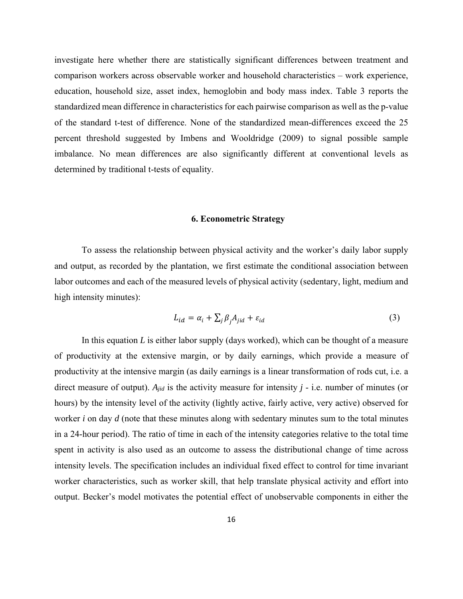investigate here whether there are statistically significant differences between treatment and comparison workers across observable worker and household characteristics – work experience, education, household size, asset index, hemoglobin and body mass index. Table 3 reports the standardized mean difference in characteristics for each pairwise comparison as well as the p-value of the standard t-test of difference. None of the standardized mean-differences exceed the 25 percent threshold suggested by Imbens and Wooldridge (2009) to signal possible sample imbalance. No mean differences are also significantly different at conventional levels as determined by traditional t-tests of equality.

#### **6. Econometric Strategy**

To assess the relationship between physical activity and the worker's daily labor supply and output, as recorded by the plantation, we first estimate the conditional association between labor outcomes and each of the measured levels of physical activity (sedentary, light, medium and high intensity minutes):

$$
L_{id} = \alpha_i + \sum_j \beta_j A_{jid} + \varepsilon_{id} \tag{3}
$$

In this equation *L* is either labor supply (days worked), which can be thought of a measure of productivity at the extensive margin, or by daily earnings, which provide a measure of productivity at the intensive margin (as daily earnings is a linear transformation of rods cut, i.e. a direct measure of output). *Ajid* is the activity measure for intensity *j* - i.e. number of minutes (or hours) by the intensity level of the activity (lightly active, fairly active, very active) observed for worker *i* on day *d* (note that these minutes along with sedentary minutes sum to the total minutes in a 24-hour period). The ratio of time in each of the intensity categories relative to the total time spent in activity is also used as an outcome to assess the distributional change of time across intensity levels. The specification includes an individual fixed effect to control for time invariant worker characteristics, such as worker skill, that help translate physical activity and effort into output. Becker's model motivates the potential effect of unobservable components in either the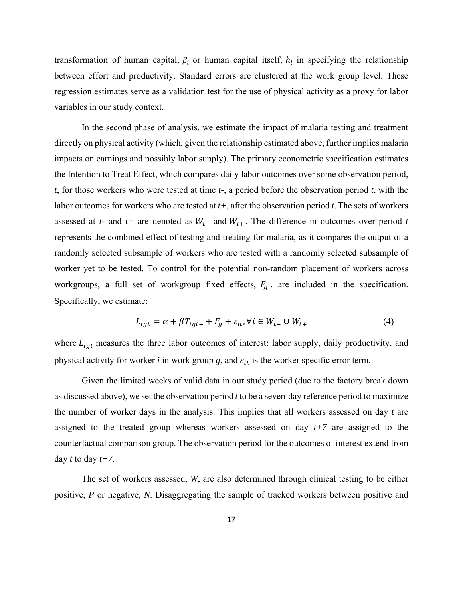transformation of human capital,  $\beta_i$  or human capital itself,  $h_i$  in specifying the relationship between effort and productivity. Standard errors are clustered at the work group level. These regression estimates serve as a validation test for the use of physical activity as a proxy for labor variables in our study context.

In the second phase of analysis, we estimate the impact of malaria testing and treatment directly on physical activity (which, given the relationship estimated above, further implies malaria impacts on earnings and possibly labor supply). The primary econometric specification estimates the Intention to Treat Effect, which compares daily labor outcomes over some observation period, *t*, for those workers who were tested at time *t-*, a period before the observation period *t*, with the labor outcomes for workers who are tested at *t+*, after the observation period *t*.The sets of workers assessed at *t*- and *t*+ are denoted as  $W_{t-}$  and  $W_{t+}$ . The difference in outcomes over period *t* represents the combined effect of testing and treating for malaria, as it compares the output of a randomly selected subsample of workers who are tested with a randomly selected subsample of worker yet to be tested. To control for the potential non-random placement of workers across workgroups, a full set of workgroup fixed effects,  $F<sub>g</sub>$ , are included in the specification. Specifically, we estimate:

$$
L_{igt} = \alpha + \beta T_{igt-} + F_g + \varepsilon_{it}, \forall i \in W_{t-} \cup W_{t+}
$$
\n
$$
\tag{4}
$$

where  $L_{igt}$  measures the three labor outcomes of interest: labor supply, daily productivity, and physical activity for worker  $i$  in work group  $g$ , and  $\varepsilon_{it}$  is the worker specific error term.

Given the limited weeks of valid data in our study period (due to the factory break down as discussed above), we set the observation period *t* to be a seven-day reference period to maximize the number of worker days in the analysis. This implies that all workers assessed on day *t* are assigned to the treated group whereas workers assessed on day *t+7* are assigned to the counterfactual comparison group. The observation period for the outcomes of interest extend from day *t* to day  $t+7$ .

The set of workers assessed, *W*, are also determined through clinical testing to be either positive, *P* or negative, *N*. Disaggregating the sample of tracked workers between positive and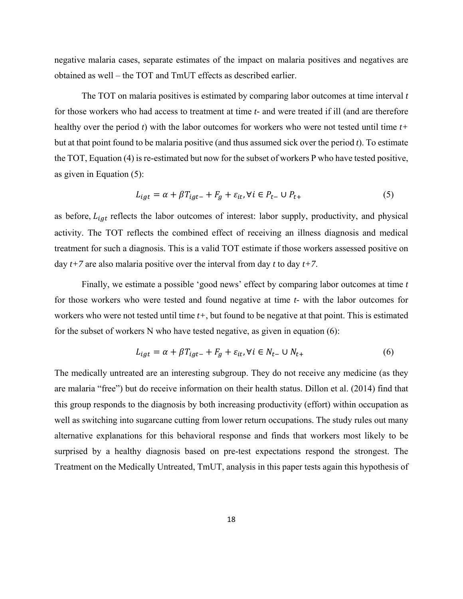negative malaria cases, separate estimates of the impact on malaria positives and negatives are obtained as well – the TOT and TmUT effects as described earlier.

The TOT on malaria positives is estimated by comparing labor outcomes at time interval *t* for those workers who had access to treatment at time *t-* and were treated if ill (and are therefore healthy over the period *t*) with the labor outcomes for workers who were not tested until time *t+* but at that point found to be malaria positive (and thus assumed sick over the period *t*). To estimate the TOT, Equation (4) is re-estimated but now for the subset of workers P who have tested positive, as given in Equation (5):

$$
L_{igt} = \alpha + \beta T_{igt-} + F_g + \varepsilon_{it}, \forall i \in P_{t-} \cup P_{t+}
$$
\n
$$
\tag{5}
$$

as before,  $L_{iqt}$  reflects the labor outcomes of interest: labor supply, productivity, and physical activity. The TOT reflects the combined effect of receiving an illness diagnosis and medical treatment for such a diagnosis. This is a valid TOT estimate if those workers assessed positive on day *t+7* are also malaria positive over the interval from day *t* to day *t+7*.

Finally, we estimate a possible 'good news' effect by comparing labor outcomes at time *t* for those workers who were tested and found negative at time *t-* with the labor outcomes for workers who were not tested until time *t+*, but found to be negative at that point. This is estimated for the subset of workers N who have tested negative, as given in equation (6):

$$
L_{igt} = \alpha + \beta T_{igt-} + F_g + \varepsilon_{it}, \forall i \in N_{t-} \cup N_{t+}
$$
\n
$$
\tag{6}
$$

The medically untreated are an interesting subgroup. They do not receive any medicine (as they are malaria "free") but do receive information on their health status. Dillon et al. (2014) find that this group responds to the diagnosis by both increasing productivity (effort) within occupation as well as switching into sugarcane cutting from lower return occupations. The study rules out many alternative explanations for this behavioral response and finds that workers most likely to be surprised by a healthy diagnosis based on pre-test expectations respond the strongest. The Treatment on the Medically Untreated, TmUT, analysis in this paper tests again this hypothesis of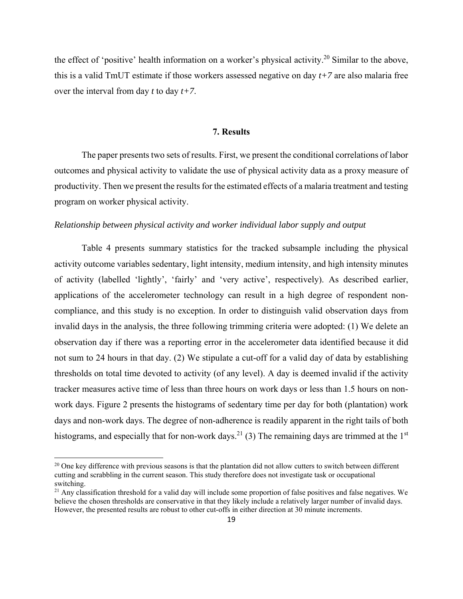the effect of 'positive' health information on a worker's physical activity.<sup>20</sup> Similar to the above, this is a valid TmUT estimate if those workers assessed negative on day *t+7* are also malaria free over the interval from day *t* to day *t+7*.

#### **7. Results**

 The paper presents two sets of results. First, we present the conditional correlations of labor outcomes and physical activity to validate the use of physical activity data as a proxy measure of productivity. Then we present the results for the estimated effects of a malaria treatment and testing program on worker physical activity.

#### *Relationship between physical activity and worker individual labor supply and output*

Table 4 presents summary statistics for the tracked subsample including the physical activity outcome variables sedentary, light intensity, medium intensity, and high intensity minutes of activity (labelled 'lightly', 'fairly' and 'very active', respectively). As described earlier, applications of the accelerometer technology can result in a high degree of respondent noncompliance, and this study is no exception. In order to distinguish valid observation days from invalid days in the analysis, the three following trimming criteria were adopted: (1) We delete an observation day if there was a reporting error in the accelerometer data identified because it did not sum to 24 hours in that day. (2) We stipulate a cut-off for a valid day of data by establishing thresholds on total time devoted to activity (of any level). A day is deemed invalid if the activity tracker measures active time of less than three hours on work days or less than 1.5 hours on nonwork days. Figure 2 presents the histograms of sedentary time per day for both (plantation) work days and non-work days. The degree of non-adherence is readily apparent in the right tails of both histograms, and especially that for non-work days.<sup>21</sup> (3) The remaining days are trimmed at the 1<sup>st</sup>

<sup>&</sup>lt;sup>20</sup> One key difference with previous seasons is that the plantation did not allow cutters to switch between different cutting and scrabbling in the current season. This study therefore does not investigate task or occupational switching.

 $^{21}$  Any classification threshold for a valid day will include some proportion of false positives and false negatives. We believe the chosen thresholds are conservative in that they likely include a relatively larger number of invalid days. However, the presented results are robust to other cut-offs in either direction at 30 minute increments.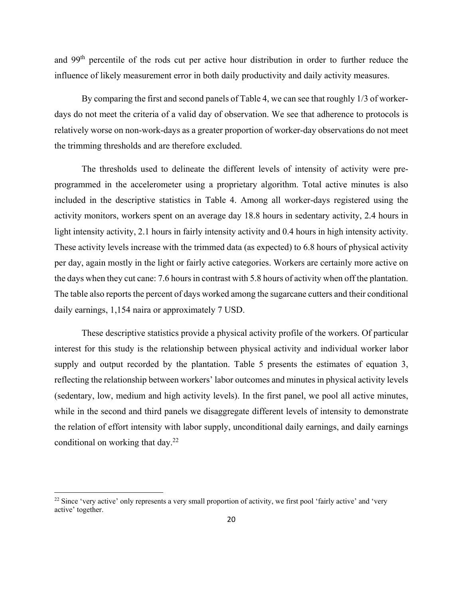and 99th percentile of the rods cut per active hour distribution in order to further reduce the influence of likely measurement error in both daily productivity and daily activity measures.

By comparing the first and second panels of Table 4, we can see that roughly 1/3 of workerdays do not meet the criteria of a valid day of observation. We see that adherence to protocols is relatively worse on non-work-days as a greater proportion of worker-day observations do not meet the trimming thresholds and are therefore excluded.

The thresholds used to delineate the different levels of intensity of activity were preprogrammed in the accelerometer using a proprietary algorithm. Total active minutes is also included in the descriptive statistics in Table 4. Among all worker-days registered using the activity monitors, workers spent on an average day 18.8 hours in sedentary activity, 2.4 hours in light intensity activity, 2.1 hours in fairly intensity activity and 0.4 hours in high intensity activity. These activity levels increase with the trimmed data (as expected) to 6.8 hours of physical activity per day, again mostly in the light or fairly active categories. Workers are certainly more active on the days when they cut cane: 7.6 hours in contrast with 5.8 hours of activity when off the plantation. The table also reports the percent of days worked among the sugarcane cutters and their conditional daily earnings, 1,154 naira or approximately 7 USD.

These descriptive statistics provide a physical activity profile of the workers. Of particular interest for this study is the relationship between physical activity and individual worker labor supply and output recorded by the plantation. Table 5 presents the estimates of equation 3, reflecting the relationship between workers' labor outcomes and minutes in physical activity levels (sedentary, low, medium and high activity levels). In the first panel, we pool all active minutes, while in the second and third panels we disaggregate different levels of intensity to demonstrate the relation of effort intensity with labor supply, unconditional daily earnings, and daily earnings conditional on working that  $day.^{22}$ 

<sup>&</sup>lt;sup>22</sup> Since 'very active' only represents a very small proportion of activity, we first pool 'fairly active' and 'very active' together.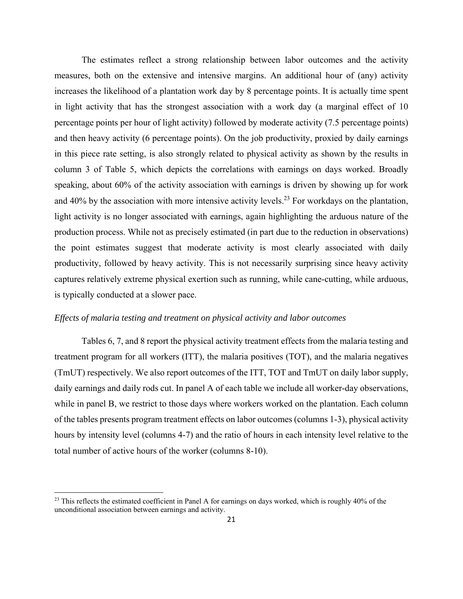The estimates reflect a strong relationship between labor outcomes and the activity measures, both on the extensive and intensive margins. An additional hour of (any) activity increases the likelihood of a plantation work day by 8 percentage points. It is actually time spent in light activity that has the strongest association with a work day (a marginal effect of 10 percentage points per hour of light activity) followed by moderate activity (7.5 percentage points) and then heavy activity (6 percentage points). On the job productivity, proxied by daily earnings in this piece rate setting, is also strongly related to physical activity as shown by the results in column 3 of Table 5, which depicts the correlations with earnings on days worked. Broadly speaking, about 60% of the activity association with earnings is driven by showing up for work and  $40\%$  by the association with more intensive activity levels.<sup>23</sup> For workdays on the plantation, light activity is no longer associated with earnings, again highlighting the arduous nature of the production process. While not as precisely estimated (in part due to the reduction in observations) the point estimates suggest that moderate activity is most clearly associated with daily productivity, followed by heavy activity. This is not necessarily surprising since heavy activity captures relatively extreme physical exertion such as running, while cane-cutting, while arduous, is typically conducted at a slower pace.

#### *Effects of malaria testing and treatment on physical activity and labor outcomes*

Tables 6, 7, and 8 report the physical activity treatment effects from the malaria testing and treatment program for all workers (ITT), the malaria positives (TOT), and the malaria negatives (TmUT) respectively. We also report outcomes of the ITT, TOT and TmUT on daily labor supply, daily earnings and daily rods cut. In panel A of each table we include all worker-day observations, while in panel B, we restrict to those days where workers worked on the plantation. Each column of the tables presents program treatment effects on labor outcomes (columns 1-3), physical activity hours by intensity level (columns 4-7) and the ratio of hours in each intensity level relative to the total number of active hours of the worker (columns 8-10).

<sup>&</sup>lt;sup>23</sup> This reflects the estimated coefficient in Panel A for earnings on days worked, which is roughly 40% of the unconditional association between earnings and activity.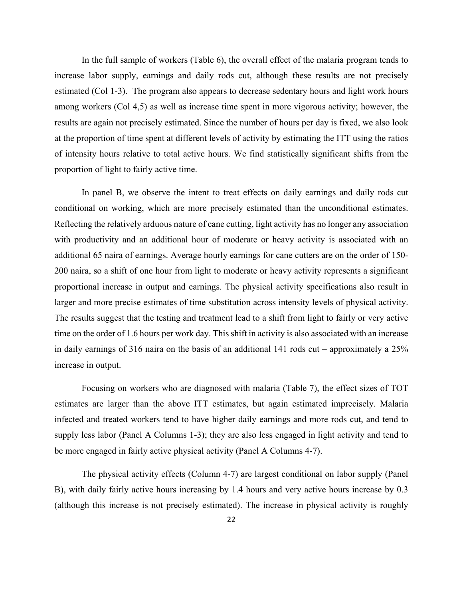In the full sample of workers (Table 6), the overall effect of the malaria program tends to increase labor supply, earnings and daily rods cut, although these results are not precisely estimated (Col 1-3). The program also appears to decrease sedentary hours and light work hours among workers (Col 4,5) as well as increase time spent in more vigorous activity; however, the results are again not precisely estimated. Since the number of hours per day is fixed, we also look at the proportion of time spent at different levels of activity by estimating the ITT using the ratios of intensity hours relative to total active hours. We find statistically significant shifts from the proportion of light to fairly active time.

In panel B, we observe the intent to treat effects on daily earnings and daily rods cut conditional on working, which are more precisely estimated than the unconditional estimates. Reflecting the relatively arduous nature of cane cutting, light activity has no longer any association with productivity and an additional hour of moderate or heavy activity is associated with an additional 65 naira of earnings. Average hourly earnings for cane cutters are on the order of 150- 200 naira, so a shift of one hour from light to moderate or heavy activity represents a significant proportional increase in output and earnings. The physical activity specifications also result in larger and more precise estimates of time substitution across intensity levels of physical activity. The results suggest that the testing and treatment lead to a shift from light to fairly or very active time on the order of 1.6 hours per work day. This shift in activity is also associated with an increase in daily earnings of 316 naira on the basis of an additional 141 rods cut – approximately a 25% increase in output.

Focusing on workers who are diagnosed with malaria (Table 7), the effect sizes of TOT estimates are larger than the above ITT estimates, but again estimated imprecisely. Malaria infected and treated workers tend to have higher daily earnings and more rods cut, and tend to supply less labor (Panel A Columns 1-3); they are also less engaged in light activity and tend to be more engaged in fairly active physical activity (Panel A Columns 4-7).

The physical activity effects (Column 4-7) are largest conditional on labor supply (Panel B), with daily fairly active hours increasing by 1.4 hours and very active hours increase by 0.3 (although this increase is not precisely estimated). The increase in physical activity is roughly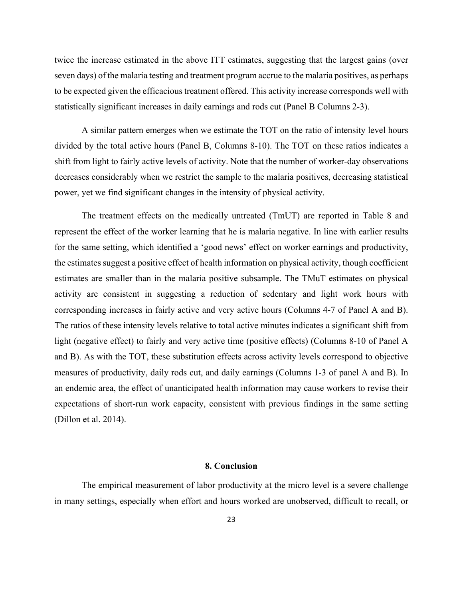twice the increase estimated in the above ITT estimates, suggesting that the largest gains (over seven days) of the malaria testing and treatment program accrue to the malaria positives, as perhaps to be expected given the efficacious treatment offered. This activity increase corresponds well with statistically significant increases in daily earnings and rods cut (Panel B Columns 2-3).

A similar pattern emerges when we estimate the TOT on the ratio of intensity level hours divided by the total active hours (Panel B, Columns 8-10). The TOT on these ratios indicates a shift from light to fairly active levels of activity. Note that the number of worker-day observations decreases considerably when we restrict the sample to the malaria positives, decreasing statistical power, yet we find significant changes in the intensity of physical activity.

 The treatment effects on the medically untreated (TmUT) are reported in Table 8 and represent the effect of the worker learning that he is malaria negative. In line with earlier results for the same setting, which identified a 'good news' effect on worker earnings and productivity, the estimates suggest a positive effect of health information on physical activity, though coefficient estimates are smaller than in the malaria positive subsample. The TMuT estimates on physical activity are consistent in suggesting a reduction of sedentary and light work hours with corresponding increases in fairly active and very active hours (Columns 4-7 of Panel A and B). The ratios of these intensity levels relative to total active minutes indicates a significant shift from light (negative effect) to fairly and very active time (positive effects) (Columns 8-10 of Panel A and B). As with the TOT, these substitution effects across activity levels correspond to objective measures of productivity, daily rods cut, and daily earnings (Columns 1-3 of panel A and B). In an endemic area, the effect of unanticipated health information may cause workers to revise their expectations of short-run work capacity, consistent with previous findings in the same setting (Dillon et al. 2014).

#### **8. Conclusion**

The empirical measurement of labor productivity at the micro level is a severe challenge in many settings, especially when effort and hours worked are unobserved, difficult to recall, or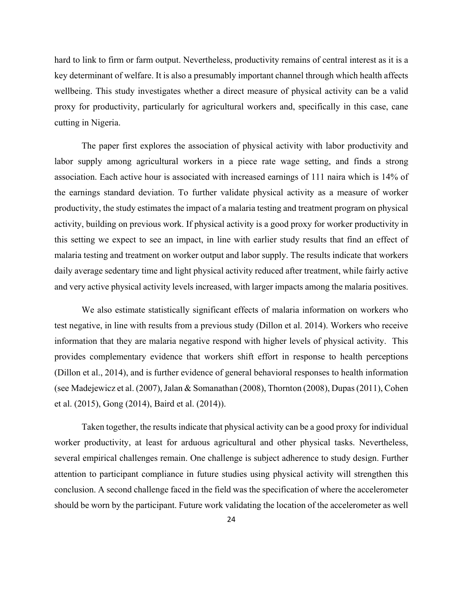hard to link to firm or farm output. Nevertheless, productivity remains of central interest as it is a key determinant of welfare. It is also a presumably important channel through which health affects wellbeing. This study investigates whether a direct measure of physical activity can be a valid proxy for productivity, particularly for agricultural workers and, specifically in this case, cane cutting in Nigeria.

The paper first explores the association of physical activity with labor productivity and labor supply among agricultural workers in a piece rate wage setting, and finds a strong association. Each active hour is associated with increased earnings of 111 naira which is 14% of the earnings standard deviation. To further validate physical activity as a measure of worker productivity, the study estimates the impact of a malaria testing and treatment program on physical activity, building on previous work. If physical activity is a good proxy for worker productivity in this setting we expect to see an impact, in line with earlier study results that find an effect of malaria testing and treatment on worker output and labor supply. The results indicate that workers daily average sedentary time and light physical activity reduced after treatment, while fairly active and very active physical activity levels increased, with larger impacts among the malaria positives.

We also estimate statistically significant effects of malaria information on workers who test negative, in line with results from a previous study (Dillon et al. 2014). Workers who receive information that they are malaria negative respond with higher levels of physical activity. This provides complementary evidence that workers shift effort in response to health perceptions (Dillon et al., 2014), and is further evidence of general behavioral responses to health information (see Madejewicz et al. (2007), Jalan & Somanathan (2008), Thornton (2008), Dupas (2011), Cohen et al. (2015), Gong (2014), Baird et al. (2014)).

Taken together, the results indicate that physical activity can be a good proxy for individual worker productivity, at least for arduous agricultural and other physical tasks. Nevertheless, several empirical challenges remain. One challenge is subject adherence to study design. Further attention to participant compliance in future studies using physical activity will strengthen this conclusion. A second challenge faced in the field was the specification of where the accelerometer should be worn by the participant. Future work validating the location of the accelerometer as well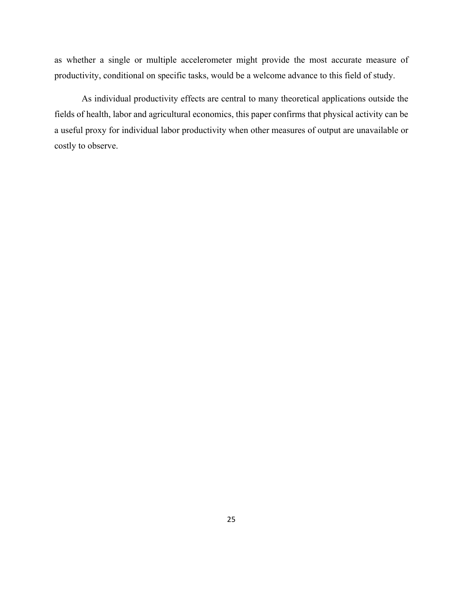as whether a single or multiple accelerometer might provide the most accurate measure of productivity, conditional on specific tasks, would be a welcome advance to this field of study.

As individual productivity effects are central to many theoretical applications outside the fields of health, labor and agricultural economics, this paper confirms that physical activity can be a useful proxy for individual labor productivity when other measures of output are unavailable or costly to observe.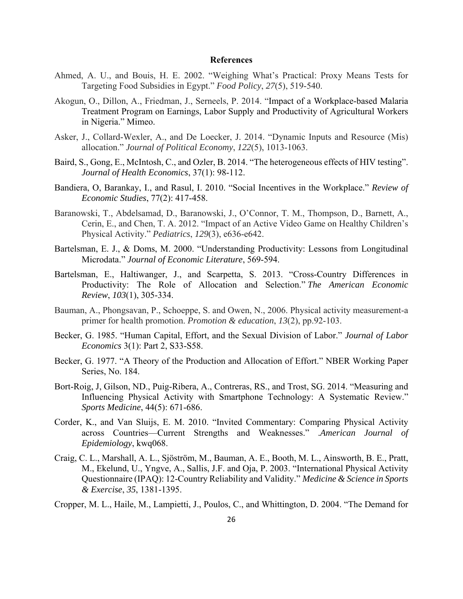#### **References**

- Ahmed, A. U., and Bouis, H. E. 2002. "Weighing What's Practical: Proxy Means Tests for Targeting Food Subsidies in Egypt." *Food Policy*, *27*(5), 519-540.
- Akogun, O., Dillon, A., Friedman, J., Serneels, P. 2014. "Impact of a Workplace-based Malaria Treatment Program on Earnings, Labor Supply and Productivity of Agricultural Workers in Nigeria." Mimeo.
- Asker, J., Collard-Wexler, A., and De Loecker, J. 2014. "Dynamic Inputs and Resource (Mis) allocation." *Journal of Political Economy*, *122*(5), 1013-1063.
- Baird, S., Gong, E., McIntosh, C., and Ozler, B. 2014. "The heterogeneous effects of HIV testing". *Journal of Health Economics*, 37(1): 98-112.
- Bandiera, O, Barankay, I., and Rasul, I. 2010. "Social Incentives in the Workplace." *Review of Economic Studies*, 77(2): 417-458.
- Baranowski, T., Abdelsamad, D., Baranowski, J., O'Connor, T. M., Thompson, D., Barnett, A., Cerin, E., and Chen, T. A. 2012. "Impact of an Active Video Game on Healthy Children's Physical Activity." *Pediatrics*, *129*(3), e636-e642.
- Bartelsman, E. J., & Doms, M. 2000. "Understanding Productivity: Lessons from Longitudinal Microdata." *Journal of Economic Literature*, 569-594.
- Bartelsman, E., Haltiwanger, J., and Scarpetta, S. 2013. "Cross-Country Differences in Productivity: The Role of Allocation and Selection." *The American Economic Review*, *103*(1), 305-334.
- Bauman, A., Phongsavan, P., Schoeppe, S. and Owen, N., 2006. Physical activity measurement-a primer for health promotion. *Promotion & education*, *13*(2), pp.92-103.
- Becker, G. 1985. "Human Capital, Effort, and the Sexual Division of Labor." *Journal of Labor Economics* 3(1): Part 2, S33-S58.
- Becker, G. 1977. "A Theory of the Production and Allocation of Effort." NBER Working Paper Series, No. 184.
- Bort-Roig, J, Gilson, ND., Puig-Ribera, A., Contreras, RS., and Trost, SG. 2014. "Measuring and Influencing Physical Activity with Smartphone Technology: A Systematic Review." *Sports Medicine*, 44(5): 671-686.
- Corder, K., and Van Sluijs, E. M. 2010. "Invited Commentary: Comparing Physical Activity across Countries—Current Strengths and Weaknesses." .*American Journal of Epidemiology*, kwq068.
- Craig, C. L., Marshall, A. L., Sjöström, M., Bauman, A. E., Booth, M. L., Ainsworth, B. E., Pratt, M., Ekelund, U., Yngve, A., Sallis, J.F. and Oja, P. 2003. "International Physical Activity Questionnaire (IPAQ): 12-Country Reliability and Validity." *Medicine & Science in Sports & Exercise*, *35*, 1381-1395.
- Cropper, M. L., Haile, M., Lampietti, J., Poulos, C., and Whittington, D. 2004. "The Demand for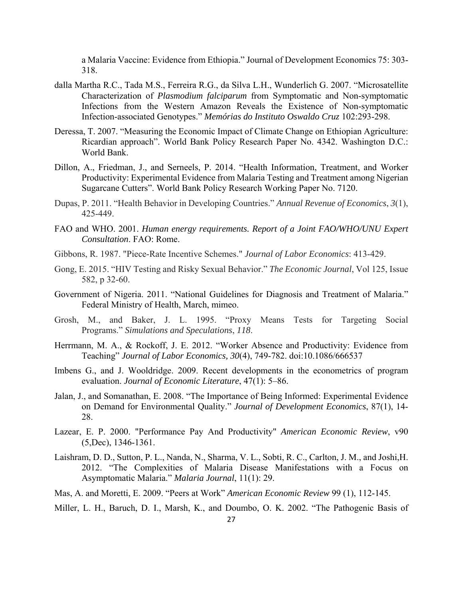a Malaria Vaccine: Evidence from Ethiopia." Journal of Development Economics 75: 303- 318.

- dalla Martha R.C., Tada M.S., Ferreira R.G., da Silva L.H., Wunderlich G. 2007. "Microsatellite Characterization of *Plasmodium falciparum* from Symptomatic and Non-symptomatic Infections from the Western Amazon Reveals the Existence of Non-symptomatic Infection-associated Genotypes." *Memórias do Instituto Oswaldo Cruz* 102:293-298.
- Deressa, T. 2007. "Measuring the Economic Impact of Climate Change on Ethiopian Agriculture: Ricardian approach". World Bank Policy Research Paper No. 4342. Washington D.C.: World Bank.
- Dillon, A., Friedman, J., and Serneels, P. 2014. "Health Information, Treatment, and Worker Productivity: Experimental Evidence from Malaria Testing and Treatment among Nigerian Sugarcane Cutters". World Bank Policy Research Working Paper No. 7120.
- Dupas, P. 2011. "Health Behavior in Developing Countries." *Annual Revenue of Economics*, *3*(1), 425-449.
- FAO and WHO. 2001. *Human energy requirements. Report of a Joint FAO/WHO/UNU Expert Consultation*. FAO: Rome.
- Gibbons, R. 1987. "Piece-Rate Incentive Schemes." *Journal of Labor Economics*: 413-429.
- Gong, E. 2015. "HIV Testing and Risky Sexual Behavior." *The Economic Journal*, Vol 125, Issue 582, p 32-60.
- Government of Nigeria. 2011. "National Guidelines for Diagnosis and Treatment of Malaria." Federal Ministry of Health, March, mimeo.
- Grosh, M., and Baker, J. L. 1995. "Proxy Means Tests for Targeting Social Programs." *Simulations and Speculations*, *118*.
- Herrmann, M. A., & Rockoff, J. E. 2012. "Worker Absence and Productivity: Evidence from Teaching" *Journal of Labor Economics, 30*(4), 749-782. doi:10.1086/666537
- Imbens G., and J. Wooldridge. 2009. Recent developments in the econometrics of program evaluation. *Journal of Economic Literature*, 47(1): 5–86.
- Jalan, J., and Somanathan, E. 2008. "The Importance of Being Informed: Experimental Evidence on Demand for Environmental Quality." *Journal of Development Economics*, 87(1), 14- 28.
- Lazear, E. P. 2000. "Performance Pay And Productivity" *American Economic Review*, v90 (5,Dec), 1346-1361.
- Laishram, D. D., Sutton, P. L., Nanda, N., Sharma, V. L., Sobti, R. C., Carlton, J. M., and Joshi,H. 2012. "The Complexities of Malaria Disease Manifestations with a Focus on Asymptomatic Malaria." *Malaria Journal*, 11(1): 29.
- Mas, A. and Moretti, E. 2009. "Peers at Work" *American Economic Review* 99 (1), 112-145.
- Miller, L. H., Baruch, D. I., Marsh, K., and Doumbo, O. K. 2002. "The Pathogenic Basis of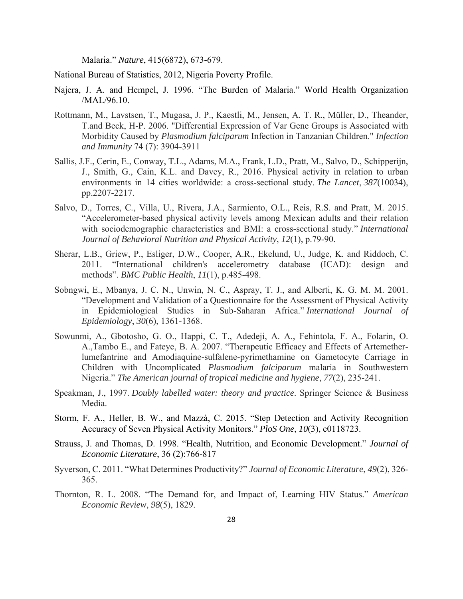Malaria." *Nature*, 415(6872), 673-679.

National Bureau of Statistics, 2012, Nigeria Poverty Profile.

- Najera, J. A. and Hempel, J. 1996. "The Burden of Malaria." World Health Organization /MAL/96.10.
- Rottmann, M., Lavstsen, T., Mugasa, J. P., Kaestli, M., Jensen, A. T. R., Müller, D., Theander, T.and Beck, H-P. 2006. "Differential Expression of Var Gene Groups is Associated with Morbidity Caused by *Plasmodium falciparum* Infection in Tanzanian Children." *Infection and Immunity* 74 (7): 3904-3911
- Sallis, J.F., Cerin, E., Conway, T.L., Adams, M.A., Frank, L.D., Pratt, M., Salvo, D., Schipperijn, J., Smith, G., Cain, K.L. and Davey, R., 2016. Physical activity in relation to urban environments in 14 cities worldwide: a cross-sectional study. *The Lancet*, *387*(10034), pp.2207-2217.
- Salvo, D., Torres, C., Villa, U., Rivera, J.A., Sarmiento, O.L., Reis, R.S. and Pratt, M. 2015. "Accelerometer-based physical activity levels among Mexican adults and their relation with sociodemographic characteristics and BMI: a cross-sectional study." *International Journal of Behavioral Nutrition and Physical Activity*, *12*(1), p.79-90.
- Sherar, L.B., Griew, P., Esliger, D.W., Cooper, A.R., Ekelund, U., Judge, K. and Riddoch, C. 2011. "International children's accelerometry database (ICAD): design and methods". *BMC Public Health*, *11*(1), p.485-498.
- Sobngwi, E., Mbanya, J. C. N., Unwin, N. C., Aspray, T. J., and Alberti, K. G. M. M. 2001. "Development and Validation of a Questionnaire for the Assessment of Physical Activity in Epidemiological Studies in Sub-Saharan Africa." *International Journal of Epidemiology*, *30*(6), 1361-1368.
- Sowunmi, A., Gbotosho, G. O., Happi, C. T., Adedeji, A. A., Fehintola, F. A., Folarin, O. A.,Tambo E., and Fateye, B. A. 2007. "Therapeutic Efficacy and Effects of Artemetherlumefantrine and Amodiaquine-sulfalene-pyrimethamine on Gametocyte Carriage in Children with Uncomplicated *Plasmodium falciparum* malaria in Southwestern Nigeria." *The American journal of tropical medicine and hygiene*, *77*(2), 235-241.
- Speakman, J., 1997. *Doubly labelled water: theory and practice*. Springer Science & Business Media.
- Storm, F. A., Heller, B. W., and Mazzà, C. 2015. "Step Detection and Activity Recognition Accuracy of Seven Physical Activity Monitors." *PloS One*, *10*(3), e0118723.
- Strauss, J. and Thomas, D. 1998. "Health, Nutrition, and Economic Development." *Journal of Economic Literature*, 36 (2):766-817
- Syverson, C. 2011. "What Determines Productivity?" *Journal of Economic Literature*, *49*(2), 326- 365.
- Thornton, R. L. 2008. "The Demand for, and Impact of, Learning HIV Status." *American Economic Review*, *98*(5), 1829.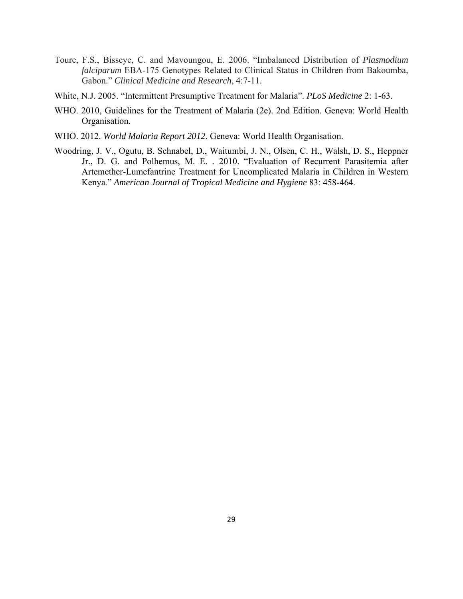- Toure, F.S., Bisseye, C. and Mavoungou, E. 2006. "Imbalanced Distribution of *Plasmodium falciparum* EBA-175 Genotypes Related to Clinical Status in Children from Bakoumba, Gabon." *Clinical Medicine and Research*, 4:7-11.
- White, N.J. 2005. "Intermittent Presumptive Treatment for Malaria". *PLoS Medicine* 2: 1-63.
- WHO. 2010, Guidelines for the Treatment of Malaria (2e). 2nd Edition. Geneva: World Health Organisation.
- WHO. 2012. *World Malaria Report 2012*. Geneva: World Health Organisation.
- Woodring, J. V., Ogutu, B. Schnabel, D., Waitumbi, J. N., Olsen, C. H., Walsh, D. S., Heppner Jr., D. G. and Polhemus, M. E. . 2010. "Evaluation of Recurrent Parasitemia after Artemether-Lumefantrine Treatment for Uncomplicated Malaria in Children in Western Kenya." *American Journal of Tropical Medicine and Hygiene* 83: 458-464.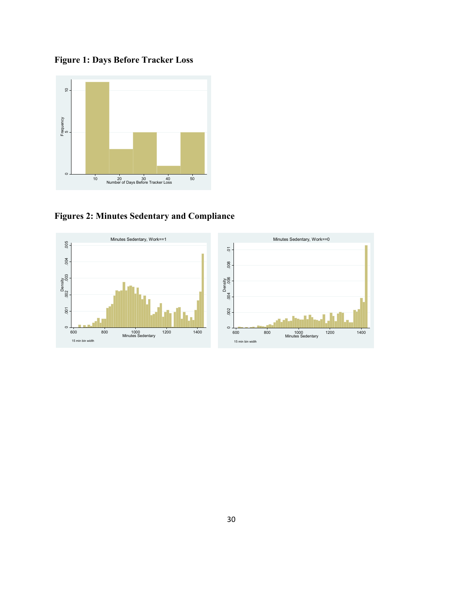**Figure 1: Days Before Tracker Loss** 



**Figures 2: Minutes Sedentary and Compliance** 

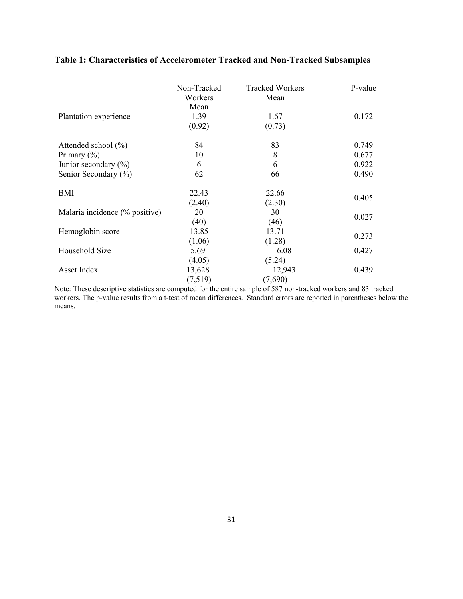|                                | Non-Tracked | <b>Tracked Workers</b> | P-value |
|--------------------------------|-------------|------------------------|---------|
|                                | Workers     | Mean                   |         |
|                                | Mean        |                        |         |
| Plantation experience          | 1.39        | 1.67                   | 0.172   |
|                                | (0.92)      | (0.73)                 |         |
| Attended school $(\%)$         | 84          | 83                     | 0.749   |
| Primary $(\% )$                | 10          | 8                      | 0.677   |
| Junior secondary $(\%)$        | 6           | 6                      | 0.922   |
| Senior Secondary (%)           | 62          | 66                     | 0.490   |
| BMI                            | 22.43       | 22.66                  |         |
|                                | (2.40)      | (2.30)                 | 0.405   |
| Malaria incidence (% positive) | 20          | 30                     |         |
|                                | (40)        | (46)                   | 0.027   |
| Hemoglobin score               | 13.85       | 13.71                  | 0.273   |
|                                | (1.06)      | (1.28)                 |         |
| Household Size                 | 5.69        | 6.08                   | 0.427   |
|                                | (4.05)      | (5.24)                 |         |
| Asset Index                    | 13,628      | 12,943                 | 0.439   |
|                                | (7,519)     | (7,690)                |         |

### **Table 1: Characteristics of Accelerometer Tracked and Non-Tracked Subsamples**

Note: These descriptive statistics are computed for the entire sample of 587 non-tracked workers and 83 tracked workers. The p-value results from a t-test of mean differences. Standard errors are reported in parentheses below the means.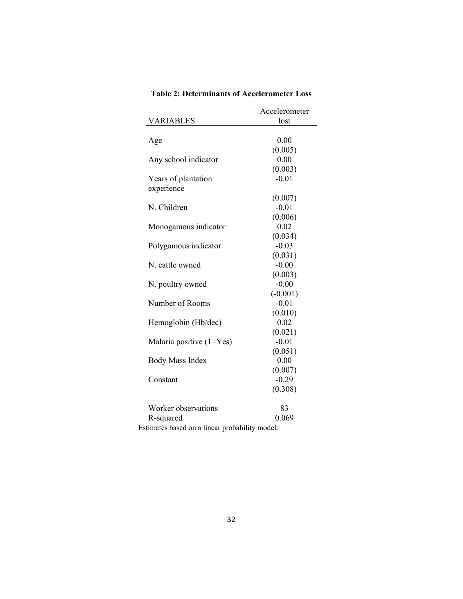|                              | Accelerometer |
|------------------------------|---------------|
| VARIABLES                    | lost          |
|                              |               |
| Age                          | 0.00          |
|                              | (0.005)       |
| Any school indicator         | 0.00          |
|                              | (0.003)       |
| Years of plantation          | $-0.01$       |
| experience                   |               |
|                              | (0.007)       |
| N. Children                  | $-0.01$       |
|                              | (0.006)       |
| Monogamous indicator         | 0.02          |
|                              | (0.034)       |
| Polygamous indicator         | $-0.03$       |
|                              | (0.031)       |
| N. cattle owned              | $-0.00$       |
|                              | (0.003)       |
| N. poultry owned             | $-0.00$       |
|                              | $(-0.001)$    |
| Number of Rooms              | $-0.01$       |
|                              | (0.010)       |
| Hemoglobin (Hb/dec)          | 0.02          |
|                              | (0.021)       |
| Malaria positive $(1 = Yes)$ | $-0.01$       |
|                              | (0.051)       |
| <b>Body Mass Index</b>       | 0.00          |
|                              | (0.007)       |
| Constant                     | $-0.29$       |
|                              | (0.308)       |
| Worker observations          | 83            |
| R-squared                    | 0.069         |

**Table 2: Determinants of Accelerometer Loss** 

Estimates based on a linear probability model.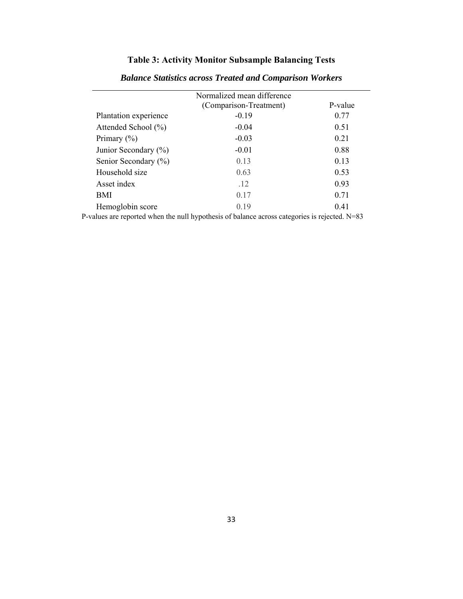### **Table 3: Activity Monitor Subsample Balancing Tests**

|                       | Normalized mean difference |         |
|-----------------------|----------------------------|---------|
|                       | (Comparison-Treatment)     | P-value |
| Plantation experience | $-0.19$                    | 0.77    |
| Attended School (%)   | $-0.04$                    | 0.51    |
| Primary $(\% )$       | $-0.03$                    | 0.21    |
| Junior Secondary (%)  | $-0.01$                    | 0.88    |
| Senior Secondary (%)  | 0.13                       | 0.13    |
| Household size        | 0.63                       | 0.53    |
| Asset index           | .12                        | 0.93    |
| BMI                   | 0.17                       | 0.71    |
| Hemoglobin score      | 0.19                       | 0.41    |

### *Balance Statistics across Treated and Comparison Workers*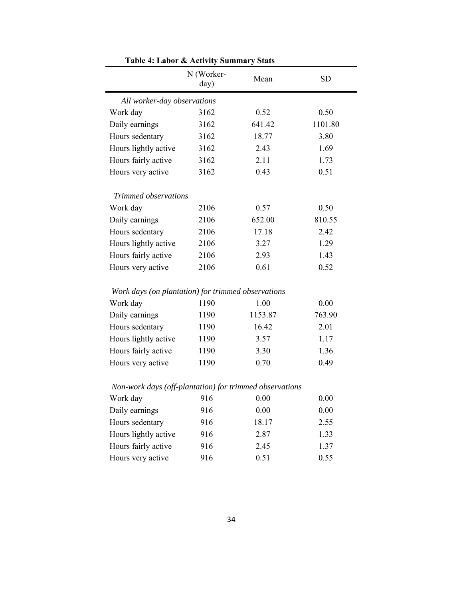|                                                         | raon +. Labor & Activity Bunningry Blats<br>N (Worker-<br>day) | Mean    | <b>SD</b> |
|---------------------------------------------------------|----------------------------------------------------------------|---------|-----------|
| All worker-day observations                             |                                                                |         |           |
| Work day                                                | 3162                                                           | 0.52    | 0.50      |
| Daily earnings                                          | 3162                                                           | 641.42  | 1101.80   |
| Hours sedentary                                         | 3162                                                           | 18.77   | 3.80      |
| Hours lightly active                                    | 3162                                                           | 2.43    | 1.69      |
| Hours fairly active                                     | 3162                                                           | 2.11    | 1.73      |
| Hours very active                                       | 3162                                                           | 0.43    | 0.51      |
| Trimmed observations                                    |                                                                |         |           |
| Work day                                                | 2106                                                           | 0.57    | 0.50      |
| Daily earnings                                          | 2106                                                           | 652.00  | 810.55    |
| Hours sedentary                                         | 2106                                                           | 17.18   | 2.42      |
| Hours lightly active                                    | 2106                                                           | 3.27    | 1.29      |
| Hours fairly active                                     | 2106                                                           | 2.93    | 1.43      |
| Hours very active                                       | 2106                                                           | 0.61    | 0.52      |
| Work days (on plantation) for trimmed observations      |                                                                |         |           |
| Work day                                                | 1190                                                           | 1.00    | 0.00      |
| Daily earnings                                          | 1190                                                           | 1153.87 | 763.90    |
| Hours sedentary                                         | 1190                                                           | 16.42   | 2.01      |
| Hours lightly active                                    | 1190                                                           | 3.57    | 1.17      |
| Hours fairly active                                     | 1190                                                           | 3.30    | 1.36      |
| Hours very active                                       | 1190                                                           | 0.70    | 0.49      |
| Non-work days (off-plantation) for trimmed observations |                                                                |         |           |
| Work day                                                | 916                                                            | 0.00    | 0.00      |
| Daily earnings                                          | 916                                                            | 0.00    | 0.00      |
| Hours sedentary                                         | 916                                                            | 18.17   | 2.55      |
| Hours lightly active                                    | 916                                                            | 2.87    | 1.33      |
| Hours fairly active                                     | 916                                                            | 2.45    | 1.37      |
| Hours very active                                       | 916                                                            | 0.51    | 0.55      |

**Table 4: Labor & Activity Summary Stats**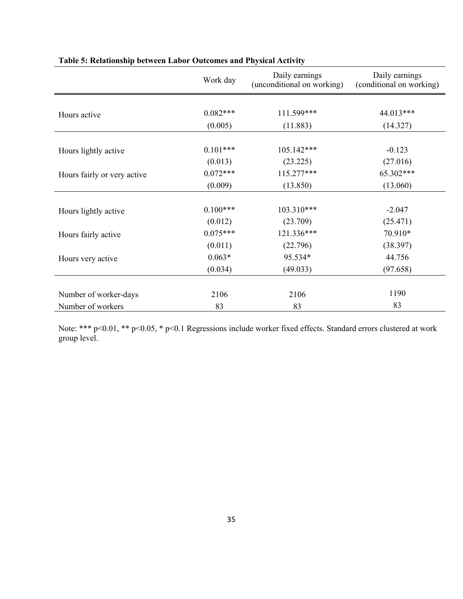|                             | Work day   | Daily earnings<br>(unconditional on working) | Daily earnings<br>(conditional on working) |  |  |
|-----------------------------|------------|----------------------------------------------|--------------------------------------------|--|--|
|                             |            |                                              |                                            |  |  |
| Hours active                | $0.082***$ | 111.599***                                   | 44.013***                                  |  |  |
|                             | (0.005)    | (11.883)                                     | (14.327)                                   |  |  |
|                             |            |                                              |                                            |  |  |
| Hours lightly active        | $0.101***$ | 105.142***                                   | $-0.123$                                   |  |  |
|                             | (0.013)    | (23.225)                                     | (27.016)                                   |  |  |
| Hours fairly or very active | $0.072***$ | 115.277***                                   | 65.302***                                  |  |  |
|                             | (0.009)    | (13.850)                                     | (13.060)                                   |  |  |
|                             |            |                                              |                                            |  |  |
| Hours lightly active        | $0.100***$ | 103.310***                                   | $-2.047$                                   |  |  |
|                             | (0.012)    | (23.709)                                     | (25.471)                                   |  |  |
| Hours fairly active         | $0.075***$ | 121.336***                                   | 70.910*                                    |  |  |
|                             | (0.011)    | (22.796)                                     | (38.397)                                   |  |  |
| Hours very active           | $0.063*$   | 95.534*                                      | 44.756                                     |  |  |
|                             | (0.034)    | (49.033)                                     | (97.658)                                   |  |  |
|                             |            |                                              |                                            |  |  |
| Number of worker-days       | 2106       | 2106                                         | 1190                                       |  |  |
| Number of workers           | 83         | 83                                           | 83                                         |  |  |

### **Table 5: Relationship between Labor Outcomes and Physical Activity**

 Note: \*\*\* p<0.01, \*\* p<0.05, \* p<0.1 Regressions include worker fixed effects. Standard errors clustered at work group level.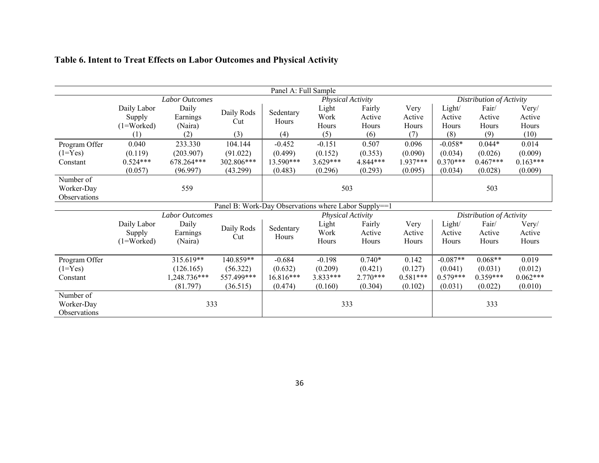| Panel A: Full Sample |              |                       |                                                      |                   |            |            |            |                          |                          |            |  |
|----------------------|--------------|-----------------------|------------------------------------------------------|-------------------|------------|------------|------------|--------------------------|--------------------------|------------|--|
|                      |              | <b>Labor Outcomes</b> |                                                      | Physical Activity |            |            |            |                          | Distribution of Activity |            |  |
|                      | Daily Labor  | Daily                 | Daily Rods                                           | Sedentary         | Light      | Fairly     | Very       | Light/                   | Fair/                    | Very/      |  |
|                      | Supply       | Earnings              | Cut                                                  | Hours             | Work       | Active     | Active     | Active                   | Active                   | Active     |  |
|                      | $(1=Worked)$ | (Naira)               |                                                      |                   | Hours      | Hours      | Hours      | Hours                    | Hours                    | Hours      |  |
|                      | (1)          | (2)                   | (3)                                                  | (4)               | (5)        | (6)        | (7)        | (8)                      | (9)                      | (10)       |  |
| Program Offer        | 0.040        | 233.330               | 104.144                                              | $-0.452$          | $-0.151$   | 0.507      | 0.096      | $-0.058*$                | $0.044*$                 | 0.014      |  |
| $(1 = Yes)$          | (0.119)      | (203.907)             | (91.022)                                             | (0.499)           | (0.152)    | (0.353)    | (0.090)    | (0.034)                  | (0.026)                  | (0.009)    |  |
| Constant             | $0.524***$   | 678.264***            | 302.806***                                           | 13.590***         | $3.629***$ | 4.844***   | 1.937***   | $0.370***$               | $0.467***$               | $0.163***$ |  |
|                      | (0.057)      | (96.997)              | (43.299)                                             | (0.483)           | (0.296)    | (0.293)    | (0.095)    | (0.034)                  | (0.028)                  | (0.009)    |  |
| Number of            |              |                       |                                                      |                   |            |            |            |                          |                          |            |  |
| Worker-Day           |              | 559                   |                                                      | 503               |            |            |            | 503                      |                          |            |  |
| Observations         |              |                       |                                                      |                   |            |            |            |                          |                          |            |  |
|                      |              |                       | Panel B: Work-Day Observations where Labor Supply==1 |                   |            |            |            |                          |                          |            |  |
|                      |              | Labor Outcomes        |                                                      | Physical Activity |            |            |            | Distribution of Activity |                          |            |  |
|                      | Daily Labor  | Daily                 | Daily Rods                                           | Sedentary         | Light      | Fairly     | Very       | Light/                   | Fair/                    | Very/      |  |
|                      | Supply       | Earnings              | Cut                                                  | Hours             | Work       | Active     | Active     | Active                   | Active                   | Active     |  |
|                      | $(1=Worked)$ | (Naira)               |                                                      |                   | Hours      | Hours      | Hours      | Hours                    | Hours                    | Hours      |  |
|                      |              |                       |                                                      |                   |            |            |            |                          |                          |            |  |
| Program Offer        |              | 315.619**             | 140.859**                                            | $-0.684$          | $-0.198$   | $0.740*$   | 0.142      | $-0.087**$               | $0.068**$                | 0.019      |  |
| $(1 = Yes)$          |              | (126.165)             | (56.322)                                             | (0.632)           | (0.209)    | (0.421)    | (0.127)    | (0.041)                  | (0.031)                  | (0.012)    |  |
| Constant             |              | 1,248.736***          | 557.499***                                           | 16.816***         | 3.833***   | $2.770***$ | $0.581***$ | $0.579***$               | $0.359***$               | $0.062***$ |  |
|                      |              | (81.797)              | (36.515)                                             | (0.474)           | (0.160)    | (0.304)    | (0.102)    | (0.031)                  | (0.022)                  | (0.010)    |  |
| Number of            |              |                       |                                                      |                   |            |            |            |                          |                          |            |  |
| Worker-Day           |              | 333                   |                                                      | 333               |            |            |            | 333                      |                          |            |  |
| Observations         |              |                       |                                                      |                   |            |            |            |                          |                          |            |  |

### **Table 6. Intent to Treat Effects on Labor Outcomes and Physical Activity**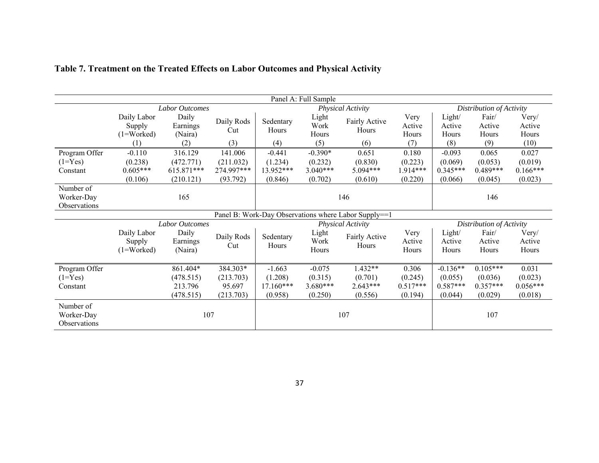| Panel A: Full Sample |              |                |            |                   |            |                                                      |            |                          |            |            |
|----------------------|--------------|----------------|------------|-------------------|------------|------------------------------------------------------|------------|--------------------------|------------|------------|
|                      |              | Labor Outcomes |            | Physical Activity |            |                                                      |            | Distribution of Activity |            |            |
|                      | Daily Labor  | Daily          | Daily Rods | Sedentary         | Light      | Fairly Active                                        | Very       | Light/                   | Fair/      | Very/      |
|                      | Supply       | Earnings       | Cut        | Hours             | Work       | Hours                                                | Active     | Active                   | Active     | Active     |
|                      | $(1=Worked)$ | (Naira)        |            |                   | Hours      |                                                      | Hours      | Hours                    | Hours      | Hours      |
|                      | (1)          | (2)            | (3)        | (4)               | (5)        | (6)                                                  | (7)        | (8)                      | (9)        | (10)       |
| Program Offer        | $-0.110$     | 316.129        | 141.006    | $-0.441$          | $-0.390*$  | 0.651                                                | 0.180      | $-0.093$                 | 0.065      | 0.027      |
| $(1 = Yes)$          | (0.238)      | (472.771)      | (211.032)  | (1.234)           | (0.232)    | (0.830)                                              | (0.223)    | (0.069)                  | (0.053)    | (0.019)    |
| Constant             | $0.605***$   | 615.871***     | 274.997*** | 13.952***         | $3.040***$ | 5.094***                                             | 1.914***   | $0.345***$               | $0.489***$ | $0.166***$ |
|                      | (0.106)      | (210.121)      | (93.792)   | (0.846)           | (0.702)    | (0.610)                                              | (0.220)    | (0.066)                  | (0.045)    | (0.023)    |
| Number of            |              |                |            |                   |            |                                                      |            |                          |            |            |
| Worker-Day           |              | 165            |            | 146               |            |                                                      |            | 146                      |            |            |
| Observations         |              |                |            |                   |            |                                                      |            |                          |            |            |
|                      |              |                |            |                   |            | Panel B: Work-Day Observations where Labor Supply==1 |            |                          |            |            |
|                      |              | Labor Outcomes |            | Physical Activity |            |                                                      |            | Distribution of Activity |            |            |
|                      | Daily Labor  | Daily          | Daily Rods | Sedentary         | Light      | Fairly Active                                        | Very       | Light/                   | Fair/      | Very/      |
|                      | Supply       | Earnings       | Cut        | Hours             | Work       | Hours                                                | Active     | Active                   | Active     | Active     |
|                      | $(1=Worked)$ | (Naira)        |            |                   | Hours      |                                                      | Hours      | Hours                    | Hours      | Hours      |
|                      |              |                |            |                   |            |                                                      |            |                          |            |            |
| Program Offer        |              | 861.404*       | 384.303*   | $-1.663$          | $-0.075$   | $1.432**$                                            | 0.306      | $-0.136**$               | $0.105***$ | 0.031      |
| $(1 = Yes)$          |              | (478.515)      | (213.703)  | (1.208)           | (0.315)    | (0.701)                                              | (0.245)    | (0.055)                  | (0.036)    | (0.023)    |
| Constant             |              | 213.796        | 95.697     | $17.160***$       | $3.680***$ | $2.643***$                                           | $0.517***$ | $0.587***$               | $0.357***$ | $0.056***$ |
|                      |              | (478.515)      | (213.703)  | (0.958)           | (0.250)    | (0.556)                                              | (0.194)    | (0.044)                  | (0.029)    | (0.018)    |
| Number of            |              |                |            |                   |            |                                                      |            |                          |            |            |
| Worker-Day           |              | 107            |            | 107               |            |                                                      |            |                          | 107        |            |
| Observations         |              |                |            |                   |            |                                                      |            |                          |            |            |
|                      |              |                |            |                   |            |                                                      |            |                          |            |            |

### **Table 7. Treatment on the Treated Effects on Labor Outcomes and Physical Activity**